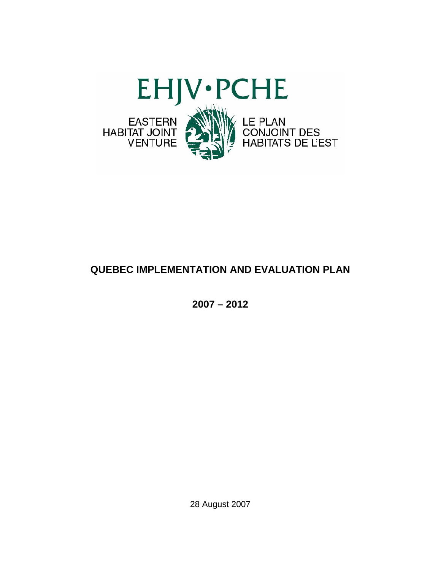

# **QUEBEC IMPLEMENTATION AND EVALUATION PLAN**

**2007 – 2012** 

28 August 2007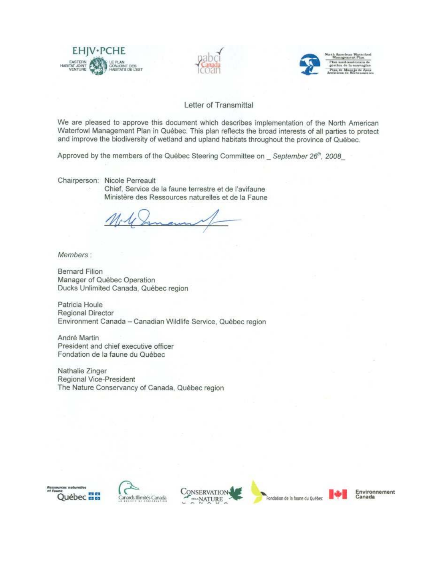





#### Letter of Transmittal

We are pleased to approve this document which describes implementation of the North American Waterfowl Management Plan in Québec. This plan reflects the broad interests of all parties to protect and improve the biodiversity of wetland and upland habitats throughout the province of Québec.

Approved by the members of the Québec Steering Committee on September 26th, 2008

Chairperson: Nicole Perreault

Chief, Service de la faune terrestre et de l'avifaune Ministère des Ressources naturelles et de la Faune

Members:

**Bernard Filion** Manager of Québec Operation Ducks Unlimited Canada, Québec region

Patricia Houle Regional Director Environment Canada - Canadian Wildlife Service, Québec region

André Martin President and chief executive officer Fondation de la faune du Québec

Nathalie Zinger Regional Vice-President The Nature Conservancy of Canada, Québec region









Environnement Canada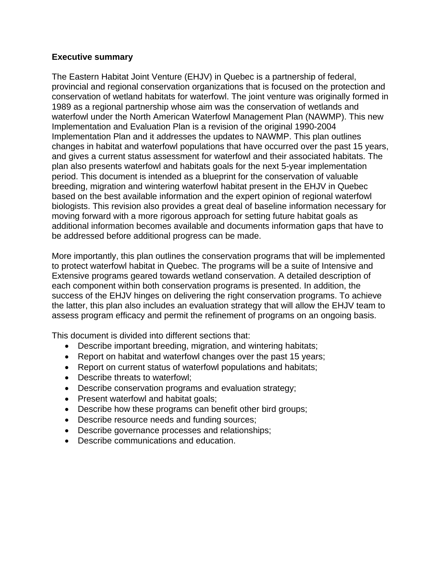## **Executive summary**

The Eastern Habitat Joint Venture (EHJV) in Quebec is a partnership of federal, provincial and regional conservation organizations that is focused on the protection and conservation of wetland habitats for waterfowl. The joint venture was originally formed in 1989 as a regional partnership whose aim was the conservation of wetlands and waterfowl under the North American Waterfowl Management Plan (NAWMP). This new Implementation and Evaluation Plan is a revision of the original 1990-2004 Implementation Plan and it addresses the updates to NAWMP. This plan outlines changes in habitat and waterfowl populations that have occurred over the past 15 years, and gives a current status assessment for waterfowl and their associated habitats. The plan also presents waterfowl and habitats goals for the next 5-year implementation period. This document is intended as a blueprint for the conservation of valuable breeding, migration and wintering waterfowl habitat present in the EHJV in Quebec based on the best available information and the expert opinion of regional waterfowl biologists. This revision also provides a great deal of baseline information necessary for moving forward with a more rigorous approach for setting future habitat goals as additional information becomes available and documents information gaps that have to be addressed before additional progress can be made.

More importantly, this plan outlines the conservation programs that will be implemented to protect waterfowl habitat in Quebec. The programs will be a suite of Intensive and Extensive programs geared towards wetland conservation. A detailed description of each component within both conservation programs is presented. In addition, the success of the EHJV hinges on delivering the right conservation programs. To achieve the latter, this plan also includes an evaluation strategy that will allow the EHJV team to assess program efficacy and permit the refinement of programs on an ongoing basis.

This document is divided into different sections that:

- Describe important breeding, migration, and wintering habitats;
- Report on habitat and waterfowl changes over the past 15 years;
- Report on current status of waterfowl populations and habitats;
- Describe threats to waterfowl;
- Describe conservation programs and evaluation strategy;
- Present waterfowl and habitat goals;
- Describe how these programs can benefit other bird groups;
- Describe resource needs and funding sources;
- Describe governance processes and relationships;
- Describe communications and education.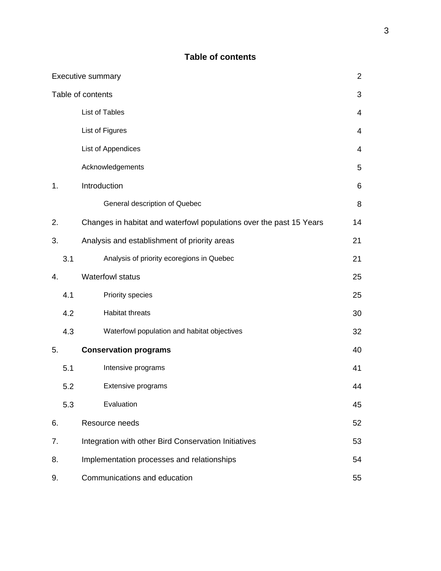# **Table of contents**

| <b>Executive summary</b> |                                                  |                                                                     |                |  |  |  |  |
|--------------------------|--------------------------------------------------|---------------------------------------------------------------------|----------------|--|--|--|--|
| Table of contents        |                                                  |                                                                     |                |  |  |  |  |
|                          |                                                  | List of Tables                                                      | $\overline{4}$ |  |  |  |  |
|                          |                                                  | List of Figures                                                     | 4              |  |  |  |  |
|                          |                                                  | List of Appendices                                                  | 4              |  |  |  |  |
|                          |                                                  | Acknowledgements                                                    | 5              |  |  |  |  |
| 1.                       |                                                  | Introduction                                                        | 6              |  |  |  |  |
|                          |                                                  | General description of Quebec                                       | 8              |  |  |  |  |
| 2.                       |                                                  | Changes in habitat and waterfowl populations over the past 15 Years | 14             |  |  |  |  |
| 3.                       |                                                  | Analysis and establishment of priority areas                        | 21             |  |  |  |  |
|                          | 3.1                                              | Analysis of priority ecoregions in Quebec                           | 21             |  |  |  |  |
| 4.                       |                                                  | <b>Waterfowl status</b>                                             | 25             |  |  |  |  |
|                          | 4.1                                              | Priority species                                                    | 25             |  |  |  |  |
|                          | 4.2                                              | Habitat threats                                                     | 30             |  |  |  |  |
|                          | 4.3                                              | Waterfowl population and habitat objectives                         | 32             |  |  |  |  |
| 5.                       |                                                  | <b>Conservation programs</b>                                        | 40             |  |  |  |  |
|                          | 5.1                                              | Intensive programs                                                  | 41             |  |  |  |  |
|                          | 5.2                                              | Extensive programs                                                  | 44             |  |  |  |  |
|                          | 5.3                                              | Evaluation                                                          | 45             |  |  |  |  |
| 6.                       |                                                  | Resource needs                                                      | 52             |  |  |  |  |
| 7.                       |                                                  | Integration with other Bird Conservation Initiatives                | 53             |  |  |  |  |
| 8.                       | Implementation processes and relationships<br>54 |                                                                     |                |  |  |  |  |
| 9.                       |                                                  | Communications and education                                        |                |  |  |  |  |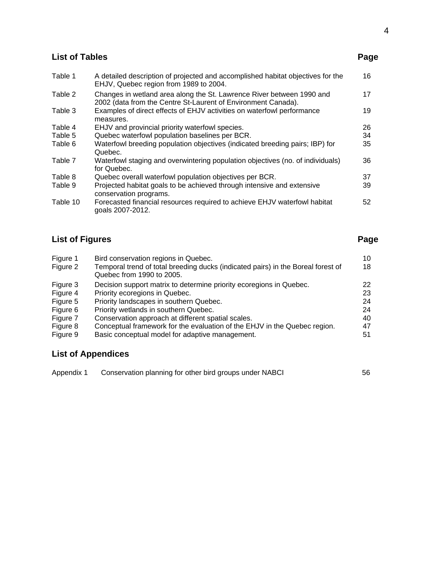# **List of Tables** Page **Page 2014**

4

| Table 1  | A detailed description of projected and accomplished habitat objectives for the<br>EHJV, Quebec region from 1989 to 2004.              | 16 |
|----------|----------------------------------------------------------------------------------------------------------------------------------------|----|
| Table 2  | Changes in wetland area along the St. Lawrence River between 1990 and<br>2002 (data from the Centre St-Laurent of Environment Canada). | 17 |
| Table 3  | Examples of direct effects of EHJV activities on waterfowl performance<br>measures.                                                    | 19 |
| Table 4  | EHJV and provincial priority waterfowl species.                                                                                        | 26 |
| Table 5  | Quebec waterfowl population baselines per BCR.                                                                                         | 34 |
| Table 6  | Waterfowl breeding population objectives (indicated breeding pairs; IBP) for<br>Quebec.                                                | 35 |
| Table 7  | Waterfowl staging and overwintering population objectives (no. of individuals)<br>for Quebec.                                          | 36 |
| Table 8  | Quebec overall waterfowl population objectives per BCR.                                                                                | 37 |
| Table 9  | Projected habitat goals to be achieved through intensive and extensive<br>conservation programs.                                       | 39 |
| Table 10 | Forecasted financial resources required to achieve EHJV waterfowl habitat<br>goals 2007-2012.                                          | 52 |

# **List of Figures** Page **Page 2014**

| Figure 1<br>Figure 2 | Bird conservation regions in Quebec.<br>Temporal trend of total breeding ducks (indicated pairs) in the Boreal forest of<br>Quebec from 1990 to 2005. | 10<br>18 |
|----------------------|-------------------------------------------------------------------------------------------------------------------------------------------------------|----------|
| Figure 3             | Decision support matrix to determine priority ecoregions in Quebec.                                                                                   | 22       |
| Figure 4             | Priority ecoregions in Quebec.                                                                                                                        | 23       |
| Figure 5             | Priority landscapes in southern Quebec.                                                                                                               | 24       |
| Figure 6             | Priority wetlands in southern Quebec.                                                                                                                 | 24       |
| Figure 7             | Conservation approach at different spatial scales.                                                                                                    | 40       |
| Figure 8             | Conceptual framework for the evaluation of the EHJV in the Quebec region.                                                                             | 47       |
| Figure 9             | Basic conceptual model for adaptive management.                                                                                                       | 51       |

# **List of Appendices**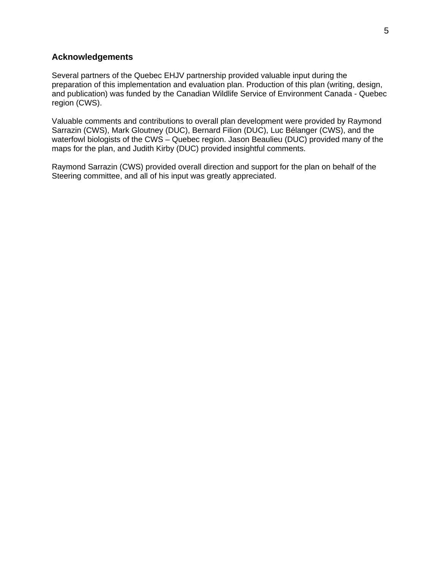#### **Acknowledgements**

Several partners of the Quebec EHJV partnership provided valuable input during the preparation of this implementation and evaluation plan. Production of this plan (writing, design, and publication) was funded by the Canadian Wildlife Service of Environment Canada - Quebec region (CWS).

Valuable comments and contributions to overall plan development were provided by Raymond Sarrazin (CWS), Mark Gloutney (DUC), Bernard Filion (DUC), Luc Bélanger (CWS), and the waterfowl biologists of the CWS – Quebec region. Jason Beaulieu (DUC) provided many of the maps for the plan, and Judith Kirby (DUC) provided insightful comments.

Raymond Sarrazin (CWS) provided overall direction and support for the plan on behalf of the Steering committee, and all of his input was greatly appreciated.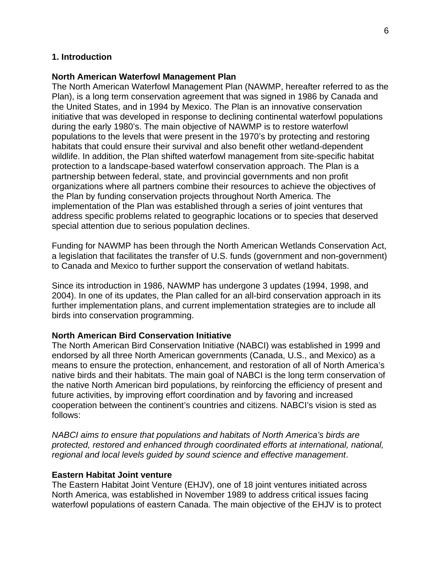### **1. Introduction**

#### **North American Waterfowl Management Plan**

The North American Waterfowl Management Plan (NAWMP, hereafter referred to as the Plan), is a long term conservation agreement that was signed in 1986 by Canada and the United States, and in 1994 by Mexico. The Plan is an innovative conservation initiative that was developed in response to declining continental waterfowl populations during the early 1980's. The main objective of NAWMP is to restore waterfowl populations to the levels that were present in the 1970's by protecting and restoring habitats that could ensure their survival and also benefit other wetland-dependent wildlife. In addition, the Plan shifted waterfowl management from site-specific habitat protection to a landscape-based waterfowl conservation approach. The Plan is a partnership between federal, state, and provincial governments and non profit organizations where all partners combine their resources to achieve the objectives of the Plan by funding conservation projects throughout North America. The implementation of the Plan was established through a series of joint ventures that address specific problems related to geographic locations or to species that deserved special attention due to serious population declines.

Funding for NAWMP has been through the North American Wetlands Conservation Act, a legislation that facilitates the transfer of U.S. funds (government and non-government) to Canada and Mexico to further support the conservation of wetland habitats.

Since its introduction in 1986, NAWMP has undergone 3 updates (1994, 1998, and 2004). In one of its updates, the Plan called for an all-bird conservation approach in its further implementation plans, and current implementation strategies are to include all birds into conservation programming.

#### **North American Bird Conservation Initiative**

The North American Bird Conservation Initiative (NABCI) was established in 1999 and endorsed by all three North American governments (Canada, U.S., and Mexico) as a means to ensure the protection, enhancement, and restoration of all of North America's native birds and their habitats. The main goal of NABCI is the long term conservation of the native North American bird populations, by reinforcing the efficiency of present and future activities, by improving effort coordination and by favoring and increased cooperation between the continent's countries and citizens. NABCI's vision is sted as follows:

*NABCI aims to ensure that populations and habitats of North America's birds are protected, restored and enhanced through coordinated efforts at international, national, regional and local levels guided by sound science and effective management*.

#### **Eastern Habitat Joint venture**

The Eastern Habitat Joint Venture (EHJV), one of 18 joint ventures initiated across North America, was established in November 1989 to address critical issues facing waterfowl populations of eastern Canada. The main objective of the EHJV is to protect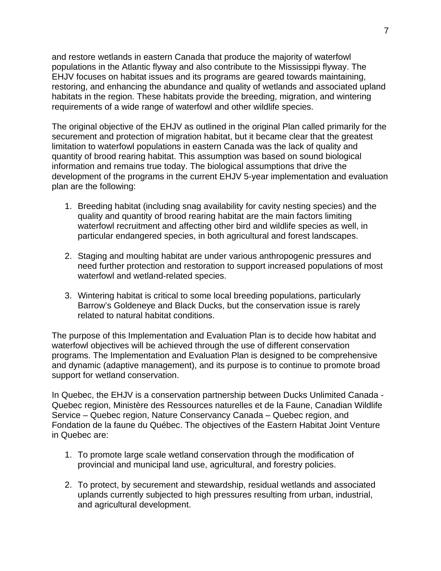and restore wetlands in eastern Canada that produce the majority of waterfowl populations in the Atlantic flyway and also contribute to the Mississippi flyway. The EHJV focuses on habitat issues and its programs are geared towards maintaining, restoring, and enhancing the abundance and quality of wetlands and associated upland habitats in the region. These habitats provide the breeding, migration, and wintering requirements of a wide range of waterfowl and other wildlife species.

The original objective of the EHJV as outlined in the original Plan called primarily for the securement and protection of migration habitat, but it became clear that the greatest limitation to waterfowl populations in eastern Canada was the lack of quality and quantity of brood rearing habitat. This assumption was based on sound biological information and remains true today. The biological assumptions that drive the development of the programs in the current EHJV 5-year implementation and evaluation plan are the following:

- 1. Breeding habitat (including snag availability for cavity nesting species) and the quality and quantity of brood rearing habitat are the main factors limiting waterfowl recruitment and affecting other bird and wildlife species as well, in particular endangered species, in both agricultural and forest landscapes.
- 2. Staging and moulting habitat are under various anthropogenic pressures and need further protection and restoration to support increased populations of most waterfowl and wetland-related species.
- 3. Wintering habitat is critical to some local breeding populations, particularly Barrow's Goldeneye and Black Ducks, but the conservation issue is rarely related to natural habitat conditions.

The purpose of this Implementation and Evaluation Plan is to decide how habitat and waterfowl objectives will be achieved through the use of different conservation programs. The Implementation and Evaluation Plan is designed to be comprehensive and dynamic (adaptive management), and its purpose is to continue to promote broad support for wetland conservation.

In Quebec, the EHJV is a conservation partnership between Ducks Unlimited Canada - Quebec region, Ministère des Ressources naturelles et de la Faune, Canadian Wildlife Service – Quebec region, Nature Conservancy Canada – Quebec region, and Fondation de la faune du Québec. The objectives of the Eastern Habitat Joint Venture in Quebec are:

- 1. To promote large scale wetland conservation through the modification of provincial and municipal land use, agricultural, and forestry policies.
- 2. To protect, by securement and stewardship, residual wetlands and associated uplands currently subjected to high pressures resulting from urban, industrial, and agricultural development.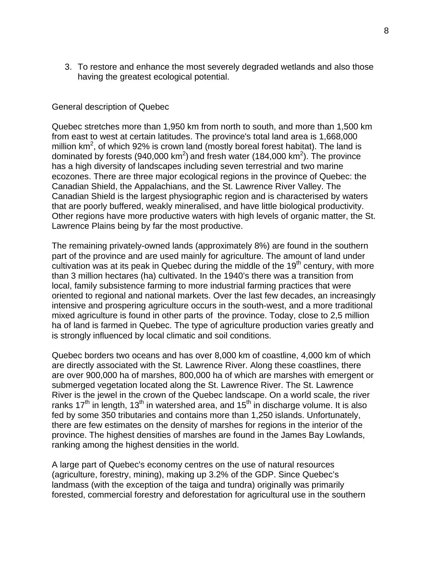3. To restore and enhance the most severely degraded wetlands and also those having the greatest ecological potential.

### General description of Quebec

Quebec stretches more than 1,950 km from north to south, and more than 1,500 km from east to west at certain latitudes. The province's total land area is 1,668,000 million  $km^2$ , of which 92% is crown land (mostly boreal forest habitat). The land is dominated by forests (940,000 km<sup>2</sup>) and fresh water (184,000 km<sup>2</sup>). The province has a high diversity of landscapes including seven terrestrial and two marine ecozones. There are three major ecological regions in the province of Quebec: the Canadian Shield, the Appalachians, and the St. Lawrence River Valley. The Canadian Shield is the largest physiographic region and is characterised by waters that are poorly buffered, weakly mineralised, and have little biological productivity. Other regions have more productive waters with high levels of organic matter, the St. Lawrence Plains being by far the most productive.

The remaining privately-owned lands (approximately 8%) are found in the southern part of the province and are used mainly for agriculture. The amount of land under cultivation was at its peak in Quebec during the middle of the  $19<sup>th</sup>$  century, with more than 3 million hectares (ha) cultivated. In the 1940's there was a transition from local, family subsistence farming to more industrial farming practices that were oriented to regional and national markets. Over the last few decades, an increasingly intensive and prospering agriculture occurs in the south-west, and a more traditional mixed agriculture is found in other parts of the province. Today, close to 2,5 million ha of land is farmed in Quebec. The type of agriculture production varies greatly and is strongly influenced by local climatic and soil conditions.

Quebec borders two oceans and has over 8,000 km of coastline, 4,000 km of which are directly associated with the St. Lawrence River. Along these coastlines, there are over 900,000 ha of marshes, 800,000 ha of which are marshes with emergent or submerged vegetation located along the St. Lawrence River. The St. Lawrence River is the jewel in the crown of the Quebec landscape. On a world scale, the river ranks  $17<sup>th</sup>$  in length,  $13<sup>th</sup>$  in watershed area, and  $15<sup>th</sup>$  in discharge volume. It is also fed by some 350 tributaries and contains more than 1,250 islands. Unfortunately, there are few estimates on the density of marshes for regions in the interior of the province. The highest densities of marshes are found in the James Bay Lowlands, ranking among the highest densities in the world.

A large part of Quebec's economy centres on the use of natural resources (agriculture, forestry, mining), making up 3.2% of the GDP. Since Quebec's landmass (with the exception of the taiga and tundra) originally was primarily forested, commercial forestry and deforestation for agricultural use in the southern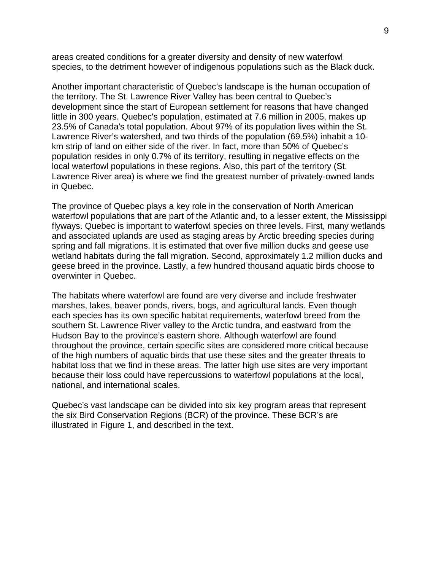areas created conditions for a greater diversity and density of new waterfowl species, to the detriment however of indigenous populations such as the Black duck.

Another important characteristic of Quebec's landscape is the human occupation of the territory. The St. Lawrence River Valley has been central to Quebec's development since the start of European settlement for reasons that have changed little in 300 years. Quebec's population, estimated at 7.6 million in 2005, makes up 23.5% of Canada's total population. About 97% of its population lives within the St. Lawrence River's watershed, and two thirds of the population (69.5%) inhabit a 10 km strip of land on either side of the river. In fact, more than 50% of Quebec's population resides in only 0.7% of its territory, resulting in negative effects on the local waterfowl populations in these regions. Also, this part of the territory (St. Lawrence River area) is where we find the greatest number of privately-owned lands in Quebec.

The province of Quebec plays a key role in the conservation of North American waterfowl populations that are part of the Atlantic and, to a lesser extent, the Mississippi flyways. Quebec is important to waterfowl species on three levels. First, many wetlands and associated uplands are used as staging areas by Arctic breeding species during spring and fall migrations. It is estimated that over five million ducks and geese use wetland habitats during the fall migration. Second, approximately 1.2 million ducks and geese breed in the province. Lastly, a few hundred thousand aquatic birds choose to overwinter in Quebec.

The habitats where waterfowl are found are very diverse and include freshwater marshes, lakes, beaver ponds, rivers, bogs, and agricultural lands. Even though each species has its own specific habitat requirements, waterfowl breed from the southern St. Lawrence River valley to the Arctic tundra, and eastward from the Hudson Bay to the province's eastern shore. Although waterfowl are found throughout the province, certain specific sites are considered more critical because of the high numbers of aquatic birds that use these sites and the greater threats to habitat loss that we find in these areas. The latter high use sites are very important because their loss could have repercussions to waterfowl populations at the local, national, and international scales.

Quebec's vast landscape can be divided into six key program areas that represent the six Bird Conservation Regions (BCR) of the province. These BCR's are illustrated in Figure 1, and described in the text.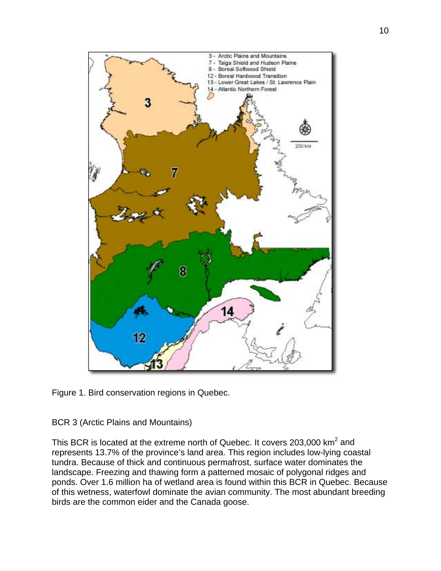



BCR 3 (Arctic Plains and Mountains)

This BCR is located at the extreme north of Quebec. It covers 203,000  $km^2$  and represents 13.7% of the province's land area. This region includes low-lying coastal tundra. Because of thick and continuous permafrost, surface water dominates the landscape. Freezing and thawing form a patterned mosaic of polygonal ridges and ponds. Over 1.6 million ha of wetland area is found within this BCR in Quebec. Because of this wetness, waterfowl dominate the avian community. The most abundant breeding birds are the common eider and the Canada goose.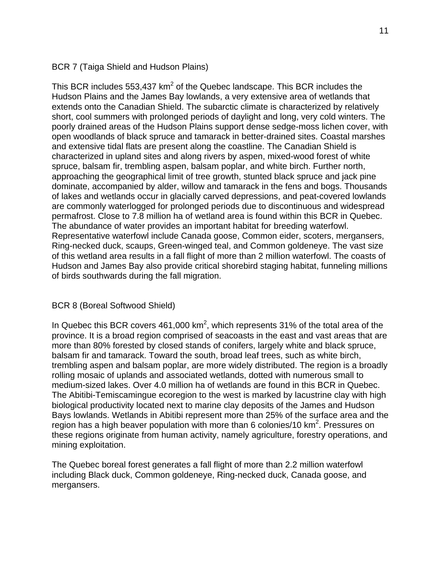## BCR 7 (Taiga Shield and Hudson Plains)

This BCR includes 553,437 km<sup>2</sup> of the Quebec landscape. This BCR includes the Hudson Plains and the James Bay lowlands, a very extensive area of wetlands that extends onto the Canadian Shield. The subarctic climate is characterized by relatively short, cool summers with prolonged periods of daylight and long, very cold winters. The poorly drained areas of the Hudson Plains support dense sedge-moss lichen cover, with open woodlands of black spruce and tamarack in better-drained sites. Coastal marshes and extensive tidal flats are present along the coastline. The Canadian Shield is characterized in upland sites and along rivers by aspen, mixed-wood forest of white spruce, balsam fir, trembling aspen, balsam poplar, and white birch. Further north, approaching the geographical limit of tree growth, stunted black spruce and jack pine dominate, accompanied by alder, willow and tamarack in the fens and bogs. Thousands of lakes and wetlands occur in glacially carved depressions, and peat-covered lowlands are commonly waterlogged for prolonged periods due to discontinuous and widespread permafrost. Close to 7.8 million ha of wetland area is found within this BCR in Quebec. The abundance of water provides an important habitat for breeding waterfowl. Representative waterfowl include Canada goose, Common eider, scoters, mergansers, Ring-necked duck, scaups, Green-winged teal, and Common goldeneye. The vast size of this wetland area results in a fall flight of more than 2 million waterfowl. The coasts of Hudson and James Bay also provide critical shorebird staging habitat, funneling millions of birds southwards during the fall migration.

#### BCR 8 (Boreal Softwood Shield)

In Quebec this BCR covers 461,000 km<sup>2</sup>, which represents 31% of the total area of the province. It is a broad region comprised of seacoasts in the east and vast areas that are more than 80% forested by closed stands of conifers, largely white and black spruce, balsam fir and tamarack. Toward the south, broad leaf trees, such as white birch, trembling aspen and balsam poplar, are more widely distributed. The region is a broadly rolling mosaic of uplands and associated wetlands, dotted with numerous small to medium-sized lakes. Over 4.0 million ha of wetlands are found in this BCR in Quebec. The Abitibi-Temiscamingue ecoregion to the west is marked by lacustrine clay with high biological productivity located next to marine clay deposits of the James and Hudson Bays lowlands. Wetlands in Abitibi represent more than 25% of the surface area and the region has a high beaver population with more than 6 colonies/10  $km^2$ . Pressures on these regions originate from human activity, namely agriculture, forestry operations, and mining exploitation.

The Quebec boreal forest generates a fall flight of more than 2.2 million waterfowl including Black duck, Common goldeneye, Ring-necked duck, Canada goose, and mergansers.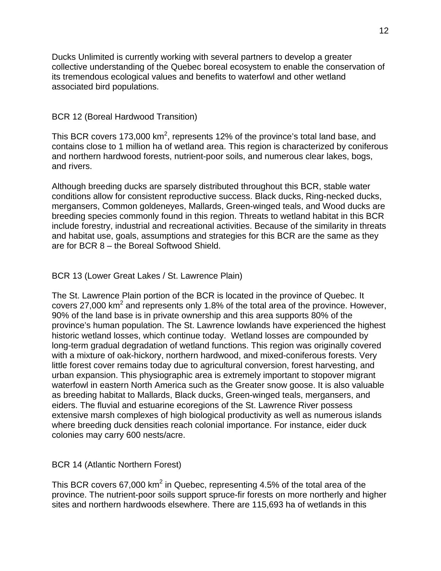Ducks Unlimited is currently working with several partners to develop a greater collective understanding of the Quebec boreal ecosystem to enable the conservation of its tremendous ecological values and benefits to waterfowl and other wetland associated bird populations.

## BCR 12 (Boreal Hardwood Transition)

This BCR covers 173,000 km<sup>2</sup>, represents 12% of the province's total land base, and contains close to 1 million ha of wetland area. This region is characterized by coniferous and northern hardwood forests, nutrient-poor soils, and numerous clear lakes, bogs, and rivers.

Although breeding ducks are sparsely distributed throughout this BCR, stable water conditions allow for consistent reproductive success. Black ducks, Ring-necked ducks, mergansers, Common goldeneyes, Mallards, Green-winged teals, and Wood ducks are breeding species commonly found in this region. Threats to wetland habitat in this BCR include forestry, industrial and recreational activities. Because of the similarity in threats and habitat use, goals, assumptions and strategies for this BCR are the same as they are for BCR 8 – the Boreal Softwood Shield.

# BCR 13 (Lower Great Lakes / St. Lawrence Plain)

The St. Lawrence Plain portion of the BCR is located in the province of Quebec. It covers 27,000  $km^2$  and represents only 1.8% of the total area of the province. However, 90% of the land base is in private ownership and this area supports 80% of the province's human population. The St. Lawrence lowlands have experienced the highest historic wetland losses, which continue today. Wetland losses are compounded by long-term gradual degradation of wetland functions. This region was originally covered with a mixture of oak-hickory, northern hardwood, and mixed-coniferous forests. Very little forest cover remains today due to agricultural conversion, forest harvesting, and urban expansion. This physiographic area is extremely important to stopover migrant waterfowl in eastern North America such as the Greater snow goose. It is also valuable as breeding habitat to Mallards, Black ducks, Green-winged teals, mergansers, and eiders. The fluvial and estuarine ecoregions of the St. Lawrence River possess extensive marsh complexes of high biological productivity as well as numerous islands where breeding duck densities reach colonial importance. For instance, eider duck colonies may carry 600 nests/acre.

# BCR 14 (Atlantic Northern Forest)

This BCR covers 67,000 km<sup>2</sup> in Quebec, representing 4.5% of the total area of the province. The nutrient-poor soils support spruce-fir forests on more northerly and higher sites and northern hardwoods elsewhere. There are 115,693 ha of wetlands in this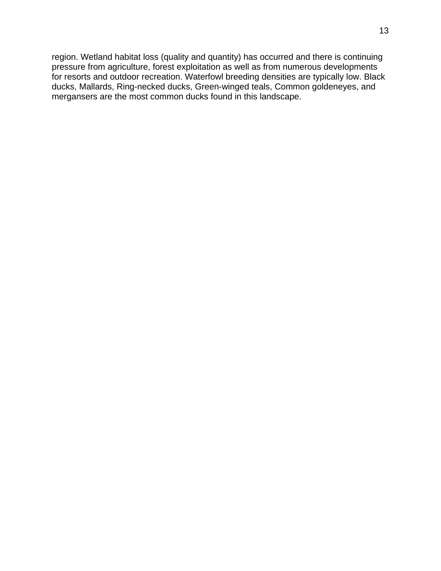region. Wetland habitat loss (quality and quantity) has occurred and there is continuing pressure from agriculture, forest exploitation as well as from numerous developments for resorts and outdoor recreation. Waterfowl breeding densities are typically low. Black ducks, Mallards, Ring-necked ducks, Green-winged teals, Common goldeneyes, and mergansers are the most common ducks found in this landscape.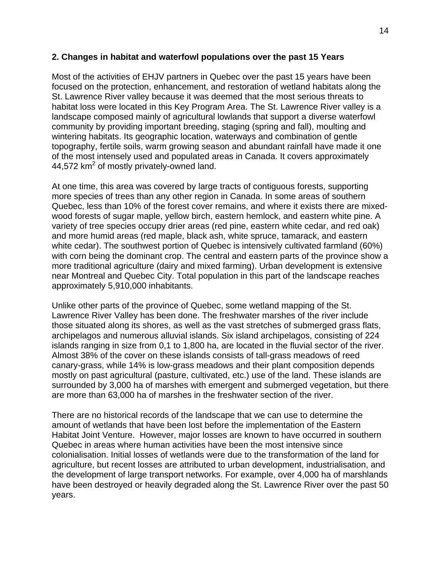## **2. Changes in habitat and waterfowl populations over the past 15 Years**

Most of the activities of EHJV partners in Quebec over the past 15 years have been focused on the protection, enhancement, and restoration of wetland habitats along the St. Lawrence River valley because it was deemed that the most serious threats to habitat loss were located in this Key Program Area. The St. Lawrence River valley is a landscape composed mainly of agricultural lowlands that support a diverse waterfowl community by providing important breeding, staging (spring and fall), moulting and wintering habitats. Its geographic location, waterways and combination of gentle topography, fertile soils, warm growing season and abundant rainfall have made it one of the most intensely used and populated areas in Canada. It covers approximately  $44,572$  km<sup>2</sup> of mostly privately-owned land.

At one time, this area was covered by large tracts of contiguous forests, supporting more species of trees than any other region in Canada. In some areas of southern Quebec, less than 10% of the forest cover remains, and where it exists there are mixedwood forests of sugar maple, yellow birch, eastern hemlock, and eastern white pine. A variety of tree species occupy drier areas (red pine, eastern white cedar, and red oak) and more humid areas (red maple, black ash, white spruce, tamarack, and eastern white cedar). The southwest portion of Quebec is intensively cultivated farmland (60%) with corn being the dominant crop. The central and eastern parts of the province show a more traditional agriculture (dairy and mixed farming). Urban development is extensive near Montreal and Quebec City. Total population in this part of the landscape reaches approximately 5,910,000 inhabitants.

Unlike other parts of the province of Quebec, some wetland mapping of the St. Lawrence River Valley has been done. The freshwater marshes of the river include those situated along its shores, as well as the vast stretches of submerged grass flats, archipelagos and numerous alluvial islands. Six island archipelagos, consisting of 224 islands ranging in size from 0,1 to 1,800 ha, are located in the fluvial sector of the river. Almost 38% of the cover on these islands consists of tall-grass meadows of reed canary-grass, while 14% is low-grass meadows and their plant composition depends mostly on past agricultural (pasture, cultivated, etc.) use of the land. These islands are surrounded by 3,000 ha of marshes with emergent and submerged vegetation, but there are more than 63,000 ha of marshes in the freshwater section of the river.

There are no historical records of the landscape that we can use to determine the amount of wetlands that have been lost before the implementation of the Eastern Habitat Joint Venture. However, major losses are known to have occurred in southern Quebec in areas where human activities have been the most intensive since colonialisation. Initial losses of wetlands were due to the transformation of the land for agriculture, but recent losses are attributed to urban development, industrialisation, and the development of large transport networks. For example, over 4,000 ha of marshlands have been destroyed or heavily degraded along the St. Lawrence River over the past 50 years.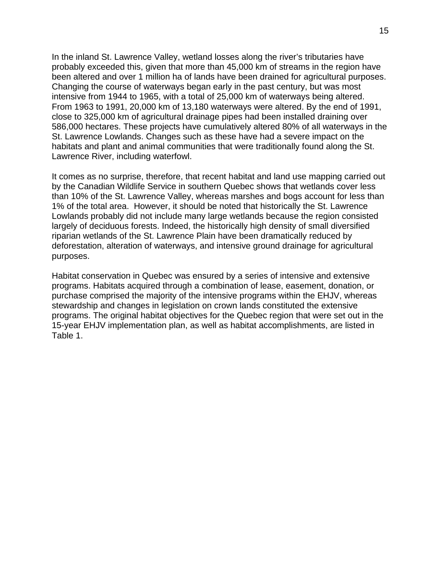In the inland St. Lawrence Valley, wetland losses along the river's tributaries have probably exceeded this, given that more than 45,000 km of streams in the region have been altered and over 1 million ha of lands have been drained for agricultural purposes. Changing the course of waterways began early in the past century, but was most intensive from 1944 to 1965, with a total of 25,000 km of waterways being altered. From 1963 to 1991, 20,000 km of 13,180 waterways were altered. By the end of 1991, close to 325,000 km of agricultural drainage pipes had been installed draining over 586,000 hectares. These projects have cumulatively altered 80% of all waterways in the St. Lawrence Lowlands. Changes such as these have had a severe impact on the habitats and plant and animal communities that were traditionally found along the St. Lawrence River, including waterfowl.

It comes as no surprise, therefore, that recent habitat and land use mapping carried out by the Canadian Wildlife Service in southern Quebec shows that wetlands cover less than 10% of the St. Lawrence Valley, whereas marshes and bogs account for less than 1% of the total area. However, it should be noted that historically the St. Lawrence Lowlands probably did not include many large wetlands because the region consisted largely of deciduous forests. Indeed, the historically high density of small diversified riparian wetlands of the St. Lawrence Plain have been dramatically reduced by deforestation, alteration of waterways, and intensive ground drainage for agricultural purposes.

Habitat conservation in Quebec was ensured by a series of intensive and extensive programs. Habitats acquired through a combination of lease, easement, donation, or purchase comprised the majority of the intensive programs within the EHJV, whereas stewardship and changes in legislation on crown lands constituted the extensive programs. The original habitat objectives for the Quebec region that were set out in the 15-year EHJV implementation plan, as well as habitat accomplishments, are listed in Table 1.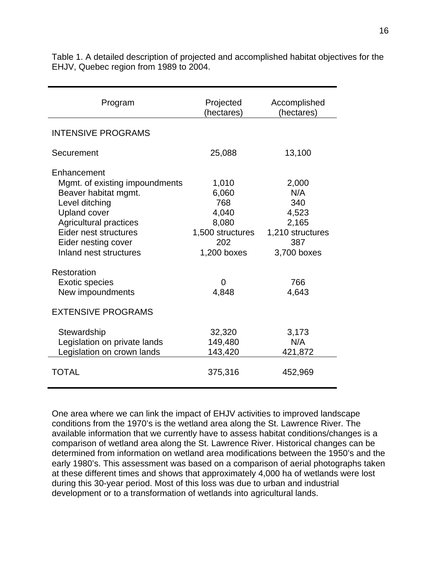| Program                                                                                                                                                                                                                   | Projected<br>(hectares)                                                           | Accomplished<br>(hectares)                                                      |  |  |
|---------------------------------------------------------------------------------------------------------------------------------------------------------------------------------------------------------------------------|-----------------------------------------------------------------------------------|---------------------------------------------------------------------------------|--|--|
| <b>INTENSIVE PROGRAMS</b>                                                                                                                                                                                                 |                                                                                   |                                                                                 |  |  |
| Securement                                                                                                                                                                                                                | 25,088                                                                            | 13,100                                                                          |  |  |
| Enhancement<br>Mgmt. of existing impoundments<br>Beaver habitat mgmt.<br>Level ditching<br><b>Upland cover</b><br><b>Agricultural practices</b><br>Eider nest structures<br>Eider nesting cover<br>Inland nest structures | 1,010<br>6,060<br>768<br>4,040<br>8,080<br>1,500 structures<br>202<br>1,200 boxes | 2,000<br>N/A<br>340<br>4,523<br>2,165<br>1,210 structures<br>387<br>3,700 boxes |  |  |
| Restoration<br><b>Exotic species</b><br>New impoundments<br><b>EXTENSIVE PROGRAMS</b><br>Stewardship<br>Legislation on private lands<br>Legislation on crown lands                                                        | 0<br>4,848<br>32,320<br>149,480<br>143,420                                        | 766<br>4,643<br>3,173<br>N/A<br>421,872                                         |  |  |
| <b>TOTAL</b>                                                                                                                                                                                                              | 375,316                                                                           | 452,969                                                                         |  |  |

Table 1. A detailed description of projected and accomplished habitat objectives for the EHJV, Quebec region from 1989 to 2004.

One area where we can link the impact of EHJV activities to improved landscape conditions from the 1970's is the wetland area along the St. Lawrence River. The available information that we currently have to assess habitat conditions/changes is a comparison of wetland area along the St. Lawrence River. Historical changes can be determined from information on wetland area modifications between the 1950's and the early 1980's. This assessment was based on a comparison of aerial photographs taken at these different times and shows that approximately 4,000 ha of wetlands were lost during this 30-year period. Most of this loss was due to urban and industrial development or to a transformation of wetlands into agricultural lands.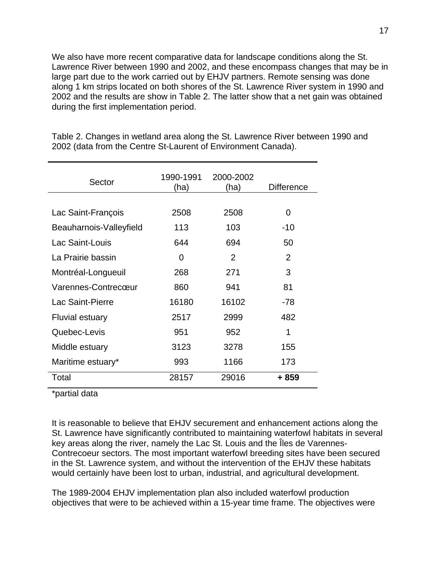We also have more recent comparative data for landscape conditions along the St. Lawrence River between 1990 and 2002, and these encompass changes that may be in large part due to the work carried out by EHJV partners. Remote sensing was done along 1 km strips located on both shores of the St. Lawrence River system in 1990 and 2002 and the results are show in Table 2. The latter show that a net gain was obtained during the first implementation period.

| Sector                  | 1990-1991<br>(ha) | 2000-2002<br>(ha) | <b>Difference</b> |
|-------------------------|-------------------|-------------------|-------------------|
| Lac Saint-François      | 2508              | 2508              | 0                 |
| Beauharnois-Valleyfield | 113               | 103               | $-10$             |
| Lac Saint-Louis         | 644               | 694               | 50                |
| La Prairie bassin       | 0                 | $\overline{2}$    | $\mathcal{P}$     |
| Montréal-Longueuil      | 268               | 271               | 3                 |
| Varennes-Contrecœur     | 860               | 941               | 81                |
| Lac Saint-Pierre        | 16180             | 16102             | -78               |
| <b>Fluvial estuary</b>  | 2517              | 2999              | 482               |
| Quebec-Levis            | 951               | 952               | 1                 |
| Middle estuary          | 3123              | 3278              | 155               |
| Maritime estuary*       | 993               | 1166              | 173               |
| Total                   | 28157             | 29016             | + 859             |

Table 2. Changes in wetland area along the St. Lawrence River between 1990 and 2002 (data from the Centre St-Laurent of Environment Canada).

\*partial data

It is reasonable to believe that EHJV securement and enhancement actions along the St. Lawrence have significantly contributed to maintaining waterfowl habitats in several key areas along the river, namely the Lac St. Louis and the Îles de Varennes-Contrecoeur sectors. The most important waterfowl breeding sites have been secured in the St. Lawrence system, and without the intervention of the EHJV these habitats would certainly have been lost to urban, industrial, and agricultural development.

The 1989-2004 EHJV implementation plan also included waterfowl production objectives that were to be achieved within a 15-year time frame. The objectives were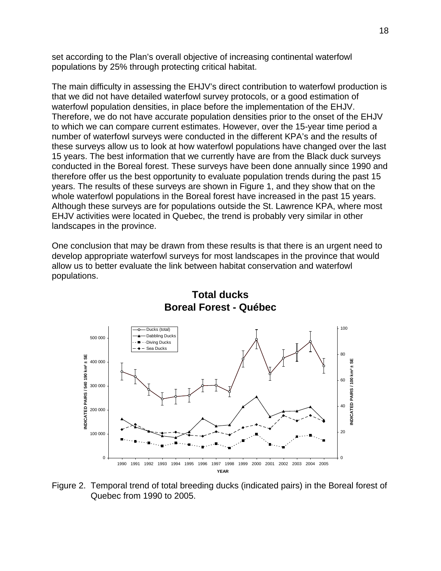set according to the Plan's overall objective of increasing continental waterfowl populations by 25% through protecting critical habitat.

The main difficulty in assessing the EHJV's direct contribution to waterfowl production is that we did not have detailed waterfowl survey protocols, or a good estimation of waterfowl population densities, in place before the implementation of the EHJV. Therefore, we do not have accurate population densities prior to the onset of the EHJV to which we can compare current estimates. However, over the 15-year time period a number of waterfowl surveys were conducted in the different KPA's and the results of these surveys allow us to look at how waterfowl populations have changed over the last 15 years. The best information that we currently have are from the Black duck surveys conducted in the Boreal forest. These surveys have been done annually since 1990 and therefore offer us the best opportunity to evaluate population trends during the past 15 years. The results of these surveys are shown in Figure 1, and they show that on the whole waterfowl populations in the Boreal forest have increased in the past 15 years. Although these surveys are for populations outside the St. Lawrence KPA, where most EHJV activities were located in Quebec, the trend is probably very similar in other landscapes in the province.

One conclusion that may be drawn from these results is that there is an urgent need to develop appropriate waterfowl surveys for most landscapes in the province that would allow us to better evaluate the link between habitat conservation and waterfowl populations.



# **Total ducks Boreal Forest - Québec**

Figure 2. Temporal trend of total breeding ducks (indicated pairs) in the Boreal forest of Quebec from 1990 to 2005.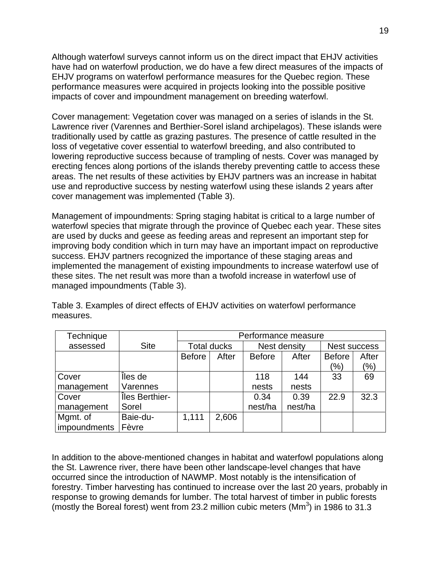Although waterfowl surveys cannot inform us on the direct impact that EHJV activities have had on waterfowl production, we do have a few direct measures of the impacts of EHJV programs on waterfowl performance measures for the Quebec region. These performance measures were acquired in projects looking into the possible positive impacts of cover and impoundment management on breeding waterfowl.

Cover management: Vegetation cover was managed on a series of islands in the St. Lawrence river (Varennes and Berthier-Sorel island archipelagos). These islands were traditionally used by cattle as grazing pastures. The presence of cattle resulted in the loss of vegetative cover essential to waterfowl breeding, and also contributed to lowering reproductive success because of trampling of nests. Cover was managed by erecting fences along portions of the islands thereby preventing cattle to access these areas. The net results of these activities by EHJV partners was an increase in habitat use and reproductive success by nesting waterfowl using these islands 2 years after cover management was implemented (Table 3).

Management of impoundments: Spring staging habitat is critical to a large number of waterfowl species that migrate through the province of Quebec each year. These sites are used by ducks and geese as feeding areas and represent an important step for improving body condition which in turn may have an important impact on reproductive success. EHJV partners recognized the importance of these staging areas and implemented the management of existing impoundments to increase waterfowl use of these sites. The net result was more than a twofold increase in waterfowl use of managed impoundments (Table 3).

Table 3. Examples of direct effects of EHJV activities on waterfowl performance measures.

| Technique    |                | Performance measure |       |               |         |                     |                   |
|--------------|----------------|---------------------|-------|---------------|---------|---------------------|-------------------|
| assessed     | <b>Site</b>    | <b>Total ducks</b>  |       | Nest density  |         | <b>Nest success</b> |                   |
|              |                | <b>Before</b>       | After | <b>Before</b> | After   | <b>Before</b>       | After             |
|              |                |                     |       |               |         | (%)                 | $\frac{(9/6)}{2}$ |
| Cover        | Îles de        |                     |       | 118           | 144     | 33                  | 69                |
| management   | Varennes       |                     |       | nests         | nests   |                     |                   |
| Cover        | Îles Berthier- |                     |       | 0.34          | 0.39    | 22.9                | 32.3              |
| management   | Sorel          |                     |       | nest/ha       | nest/ha |                     |                   |
| Mgmt. of     | Baie-du-       | 1,111               | 2,606 |               |         |                     |                   |
| impoundments | Fèvre          |                     |       |               |         |                     |                   |

In addition to the above-mentioned changes in habitat and waterfowl populations along the St. Lawrence river, there have been other landscape-level changes that have occurred since the introduction of NAWMP. Most notably is the intensification of forestry. Timber harvesting has continued to increase over the last 20 years, probably in response to growing demands for lumber. The total harvest of timber in public forests (mostly the Boreal forest) went from 23.2 million cubic meters  $(Mm<sup>3</sup>)$  in 1986 to 31.3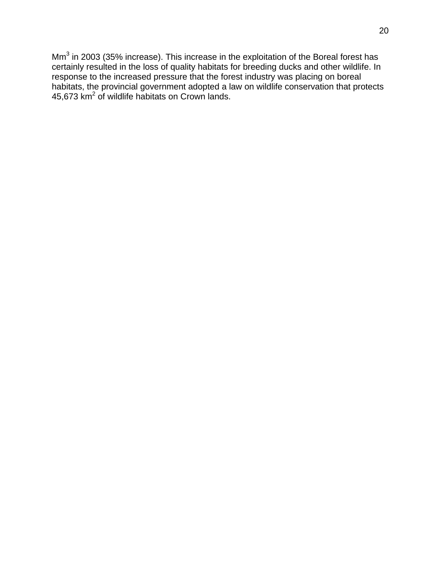Mm<sup>3</sup> in 2003 (35% increase). This increase in the exploitation of the Boreal forest has certainly resulted in the loss of quality habitats for breeding ducks and other wildlife. In response to the increased pressure that the forest industry was placing on boreal habitats, the provincial government adopted a law on wildlife conservation that protects 45,673  $km^2$  of wildlife habitats on Crown lands.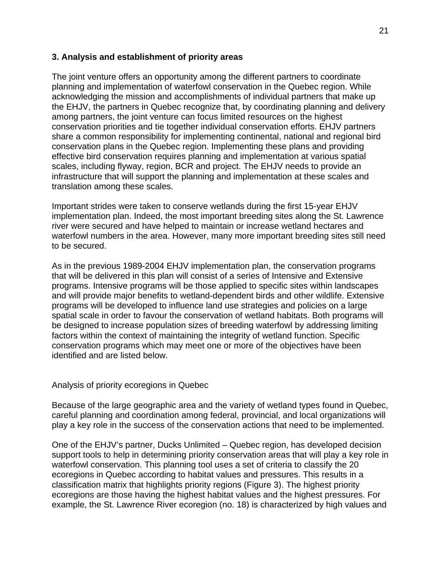## **3. Analysis and establishment of priority areas**

The joint venture offers an opportunity among the different partners to coordinate planning and implementation of waterfowl conservation in the Quebec region. While acknowledging the mission and accomplishments of individual partners that make up the EHJV, the partners in Quebec recognize that, by coordinating planning and delivery among partners, the joint venture can focus limited resources on the highest conservation priorities and tie together individual conservation efforts. EHJV partners share a common responsibility for implementing continental, national and regional bird conservation plans in the Quebec region. Implementing these plans and providing effective bird conservation requires planning and implementation at various spatial scales, including flyway, region, BCR and project. The EHJV needs to provide an infrastructure that will support the planning and implementation at these scales and translation among these scales.

Important strides were taken to conserve wetlands during the first 15-year EHJV implementation plan. Indeed, the most important breeding sites along the St. Lawrence river were secured and have helped to maintain or increase wetland hectares and waterfowl numbers in the area. However, many more important breeding sites still need to be secured.

As in the previous 1989-2004 EHJV implementation plan, the conservation programs that will be delivered in this plan will consist of a series of Intensive and Extensive programs. Intensive programs will be those applied to specific sites within landscapes and will provide major benefits to wetland-dependent birds and other wildlife. Extensive programs will be developed to influence land use strategies and policies on a large spatial scale in order to favour the conservation of wetland habitats. Both programs will be designed to increase population sizes of breeding waterfowl by addressing limiting factors within the context of maintaining the integrity of wetland function. Specific conservation programs which may meet one or more of the objectives have been identified and are listed below.

Analysis of priority ecoregions in Quebec

Because of the large geographic area and the variety of wetland types found in Quebec, careful planning and coordination among federal, provincial, and local organizations will play a key role in the success of the conservation actions that need to be implemented.

One of the EHJV's partner, Ducks Unlimited – Quebec region, has developed decision support tools to help in determining priority conservation areas that will play a key role in waterfowl conservation. This planning tool uses a set of criteria to classify the 20 ecoregions in Quebec according to habitat values and pressures. This results in a classification matrix that highlights priority regions (Figure 3). The highest priority ecoregions are those having the highest habitat values and the highest pressures. For example, the St. Lawrence River ecoregion (no. 18) is characterized by high values and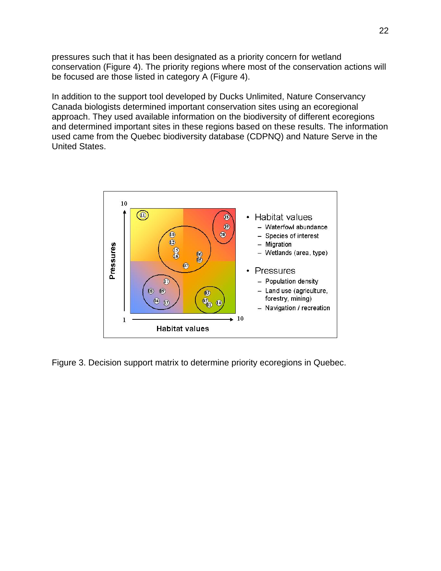pressures such that it has been designated as a priority concern for wetland conservation (Figure 4). The priority regions where most of the conservation actions will be focused are those listed in category A (Figure 4).

In addition to the support tool developed by Ducks Unlimited, Nature Conservancy Canada biologists determined important conservation sites using an ecoregional approach. They used available information on the biodiversity of different ecoregions and determined important sites in these regions based on these results. The information used came from the Quebec biodiversity database (CDPNQ) and Nature Serve in the United States.



Figure 3. Decision support matrix to determine priority ecoregions in Quebec.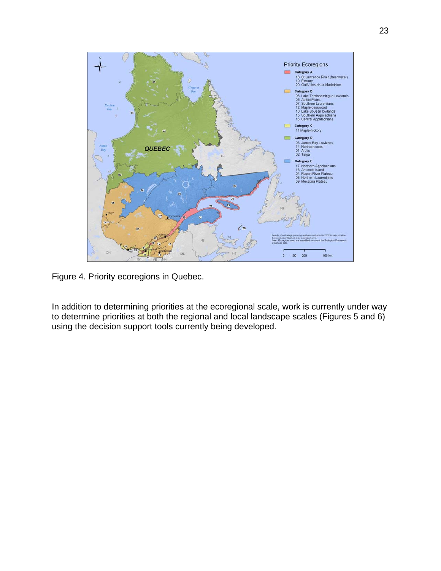

Figure 4. Priority ecoregions in Quebec.

In addition to determining priorities at the ecoregional scale, work is currently under way to determine priorities at both the regional and local landscape scales (Figures 5 and 6) using the decision support tools currently being developed.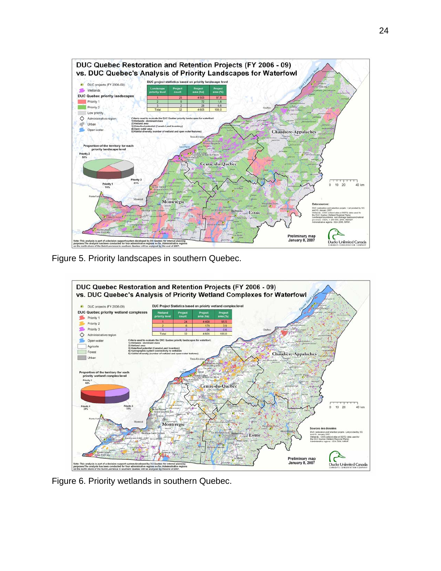

Figure 5. Priority landscapes in southern Quebec.



Figure 6. Priority wetlands in southern Quebec.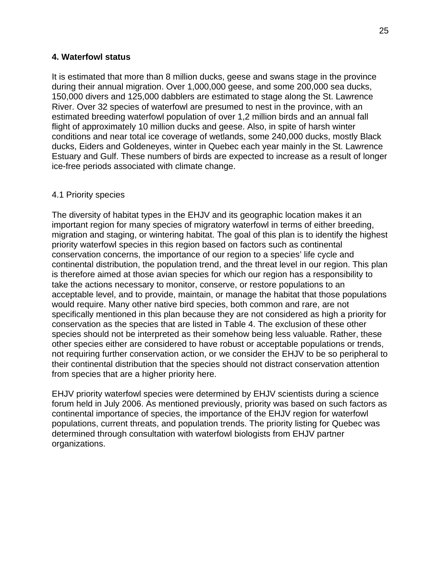### **4. Waterfowl status**

It is estimated that more than 8 million ducks, geese and swans stage in the province during their annual migration. Over 1,000,000 geese, and some 200,000 sea ducks, 150,000 divers and 125,000 dabblers are estimated to stage along the St. Lawrence River. Over 32 species of waterfowl are presumed to nest in the province, with an estimated breeding waterfowl population of over 1,2 million birds and an annual fall flight of approximately 10 million ducks and geese. Also, in spite of harsh winter conditions and near total ice coverage of wetlands, some 240,000 ducks, mostly Black ducks, Eiders and Goldeneyes, winter in Quebec each year mainly in the St. Lawrence Estuary and Gulf. These numbers of birds are expected to increase as a result of longer ice-free periods associated with climate change.

### 4.1 Priority species

The diversity of habitat types in the EHJV and its geographic location makes it an important region for many species of migratory waterfowl in terms of either breeding, migration and staging, or wintering habitat. The goal of this plan is to identify the highest priority waterfowl species in this region based on factors such as continental conservation concerns, the importance of our region to a species' life cycle and continental distribution, the population trend, and the threat level in our region. This plan is therefore aimed at those avian species for which our region has a responsibility to take the actions necessary to monitor, conserve, or restore populations to an acceptable level, and to provide, maintain, or manage the habitat that those populations would require. Many other native bird species, both common and rare, are not specifically mentioned in this plan because they are not considered as high a priority for conservation as the species that are listed in Table 4. The exclusion of these other species should not be interpreted as their somehow being less valuable. Rather, these other species either are considered to have robust or acceptable populations or trends, not requiring further conservation action, or we consider the EHJV to be so peripheral to their continental distribution that the species should not distract conservation attention from species that are a higher priority here.

EHJV priority waterfowl species were determined by EHJV scientists during a science forum held in July 2006. As mentioned previously, priority was based on such factors as continental importance of species, the importance of the EHJV region for waterfowl populations, current threats, and population trends. The priority listing for Quebec was determined through consultation with waterfowl biologists from EHJV partner organizations.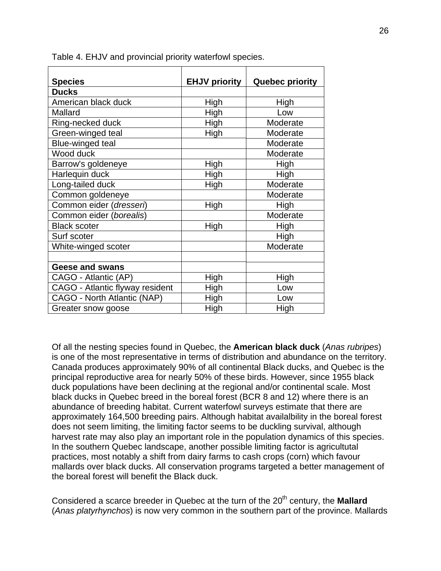| <b>Species</b>                  | <b>EHJV priority</b> | <b>Quebec priority</b> |
|---------------------------------|----------------------|------------------------|
| <b>Ducks</b>                    |                      |                        |
| American black duck             | High                 | High                   |
| Mallard                         | High                 | Low                    |
| Ring-necked duck                | High                 | Moderate               |
| Green-winged teal               | High                 | Moderate               |
| <b>Blue-winged teal</b>         |                      | Moderate               |
| Wood duck                       |                      | Moderate               |
| Barrow's goldeneye              | High                 | High                   |
| Harlequin duck                  | High                 | High                   |
| Long-tailed duck                | High                 | Moderate               |
| Common goldeneye                |                      | Moderate               |
| Common eider (dresseri)         | High                 | High                   |
| Common eider (borealis)         |                      | Moderate               |
| <b>Black scoter</b>             | High                 | High                   |
| Surf scoter                     |                      | High                   |
| White-winged scoter             |                      | Moderate               |
|                                 |                      |                        |
| <b>Geese and swans</b>          |                      |                        |
| CAGO - Atlantic (AP)            | High                 | High                   |
| CAGO - Atlantic flyway resident | High                 | Low                    |
| CAGO - North Atlantic (NAP)     | High                 | Low                    |
| Greater snow goose              | High                 | High                   |

Table 4. EHJV and provincial priority waterfowl species.

Of all the nesting species found in Quebec, the **American black duck** (*Anas rubripes*) is one of the most representative in terms of distribution and abundance on the territory. Canada produces approximately 90% of all continental Black ducks, and Quebec is the principal reproductive area for nearly 50% of these birds. However, since 1955 black duck populations have been declining at the regional and/or continental scale. Most black ducks in Quebec breed in the boreal forest (BCR 8 and 12) where there is an abundance of breeding habitat. Current waterfowl surveys estimate that there are approximately 164,500 breeding pairs. Although habitat availalbility in the boreal forest does not seem limiting, the limiting factor seems to be duckling survival, although harvest rate may also play an important role in the population dynamics of this species. In the southern Quebec landscape, another possible limiting factor is agricultutal practices, most notably a shift from dairy farms to cash crops (corn) which favour mallards over black ducks. All conservation programs targeted a better management of the boreal forest will benefit the Black duck.

Considered a scarce breeder in Quebec at the turn of the 20<sup>th</sup> century, the **Mallard** (*Anas platyrhynchos*) is now very common in the southern part of the province. Mallards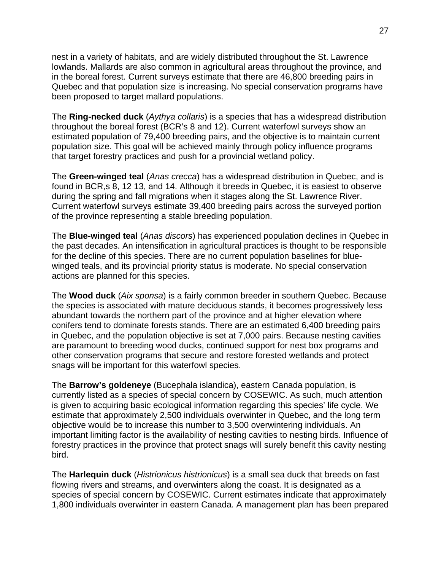nest in a variety of habitats, and are widely distributed throughout the St. Lawrence lowlands. Mallards are also common in agricultural areas throughout the province, and in the boreal forest. Current surveys estimate that there are 46,800 breeding pairs in Quebec and that population size is increasing. No special conservation programs have been proposed to target mallard populations.

The **Ring-necked duck** (*Aythya collaris*) is a species that has a widespread distribution throughout the boreal forest (BCR's 8 and 12). Current waterfowl surveys show an estimated population of 79,400 breeding pairs, and the objective is to maintain current population size. This goal will be achieved mainly through policy influence programs that target forestry practices and push for a provincial wetland policy.

The **Green-winged teal** (*Anas crecca*) has a widespread distribution in Quebec, and is found in BCR,s 8, 12 13, and 14. Although it breeds in Quebec, it is easiest to observe during the spring and fall migrations when it stages along the St. Lawrence River. Current waterfowl surveys estimate 39,400 breeding pairs across the surveyed portion of the province representing a stable breeding population.

The **Blue-winged teal** (*Anas discors*) has experienced population declines in Quebec in the past decades. An intensification in agricultural practices is thought to be responsible for the decline of this species. There are no current population baselines for bluewinged teals, and its provincial priority status is moderate. No special conservation actions are planned for this species.

The **Wood duck** (*Aix sponsa*) is a fairly common breeder in southern Quebec. Because the species is associated with mature deciduous stands, it becomes progressively less abundant towards the northern part of the province and at higher elevation where conifers tend to dominate forests stands. There are an estimated 6,400 breeding pairs in Quebec, and the population objective is set at 7,000 pairs. Because nesting cavities are paramount to breeding wood ducks, continued support for nest box programs and other conservation programs that secure and restore forested wetlands and protect snags will be important for this waterfowl species.

The **Barrow's goldeneye** (Bucephala islandica), eastern Canada population, is currently listed as a species of special concern by COSEWIC. As such, much attention is given to acquiring basic ecological information regarding this species' life cycle. We estimate that approximately 2,500 individuals overwinter in Quebec, and the long term objective would be to increase this number to 3,500 overwintering individuals. An important limiting factor is the availability of nesting cavities to nesting birds. Influence of forestry practices in the province that protect snags will surely benefit this cavity nesting bird.

The **Harlequin duck** (*Histrionicus histrionicus*) is a small sea duck that breeds on fast flowing rivers and streams, and overwinters along the coast. It is designated as a species of special concern by COSEWIC. Current estimates indicate that approximately 1,800 individuals overwinter in eastern Canada. A management plan has been prepared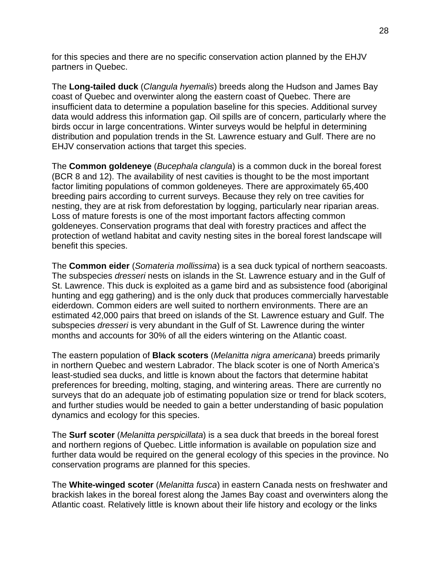for this species and there are no specific conservation action planned by the EHJV partners in Quebec.

The **Long-tailed duck** (*Clangula hyemalis*) breeds along the Hudson and James Bay coast of Quebec and overwinter along the eastern coast of Quebec. There are insufficient data to determine a population baseline for this species. Additional survey data would address this information gap. Oil spills are of concern, particularly where the birds occur in large concentrations. Winter surveys would be helpful in determining distribution and population trends in the St. Lawrence estuary and Gulf. There are no EHJV conservation actions that target this species.

The **Common goldeneye** (*Bucephala clangula*) is a common duck in the boreal forest (BCR 8 and 12). The availability of nest cavities is thought to be the most important factor limiting populations of common goldeneyes. There are approximately 65,400 breeding pairs according to current surveys. Because they rely on tree cavities for nesting, they are at risk from deforestation by logging, particularly near riparian areas. Loss of mature forests is one of the most important factors affecting common goldeneyes. Conservation programs that deal with forestry practices and affect the protection of wetland habitat and cavity nesting sites in the boreal forest landscape will benefit this species.

The **Common eider** (*Somateria mollissima*) is a sea duck typical of northern seacoasts. The subspecies *dresseri* nests on islands in the St. Lawrence estuary and in the Gulf of St. Lawrence. This duck is exploited as a game bird and as subsistence food (aboriginal hunting and egg gathering) and is the only duck that produces commercially harvestable eiderdown. Common eiders are well suited to northern environments. There are an estimated 42,000 pairs that breed on islands of the St. Lawrence estuary and Gulf. The subspecies *dresseri* is very abundant in the Gulf of St. Lawrence during the winter months and accounts for 30% of all the eiders wintering on the Atlantic coast.

The eastern population of **Black scoters** (*Melanitta nigra americana*) breeds primarily in northern Quebec and western Labrador. The black scoter is one of North America's least-studied sea ducks, and little is known about the factors that determine habitat preferences for breeding, molting, staging, and wintering areas. There are currently no surveys that do an adequate job of estimating population size or trend for black scoters, and further studies would be needed to gain a better understanding of basic population dynamics and ecology for this species.

The **Surf scoter** (*Melanitta perspicillata*) is a sea duck that breeds in the boreal forest and northern regions of Quebec. Little information is available on population size and further data would be required on the general ecology of this species in the province. No conservation programs are planned for this species.

The **White-winged scoter** (*Melanitta fusca*) in eastern Canada nests on freshwater and brackish lakes in the boreal forest along the James Bay coast and overwinters along the Atlantic coast. Relatively little is known about their life history and ecology or the links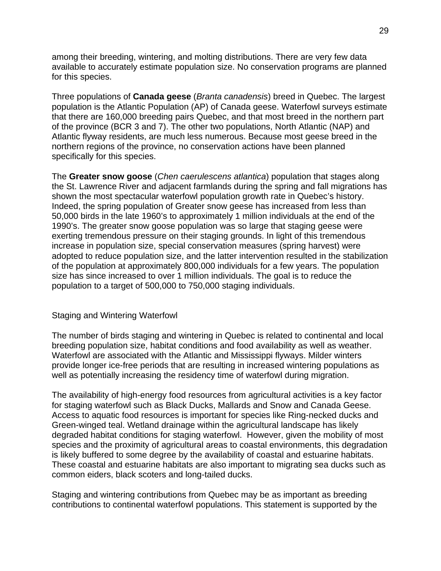among their breeding, wintering, and molting distributions. There are very few data available to accurately estimate population size. No conservation programs are planned for this species.

Three populations of **Canada geese** (*Branta canadensis*) breed in Quebec. The largest population is the Atlantic Population (AP) of Canada geese. Waterfowl surveys estimate that there are 160,000 breeding pairs Quebec, and that most breed in the northern part of the province (BCR 3 and 7). The other two populations, North Atlantic (NAP) and Atlantic flyway residents, are much less numerous. Because most geese breed in the northern regions of the province, no conservation actions have been planned specifically for this species.

The **Greater snow goose** (*Chen caerulescens atlantica*) population that stages along the St. Lawrence River and adjacent farmlands during the spring and fall migrations has shown the most spectacular waterfowl population growth rate in Quebec's history. Indeed, the spring population of Greater snow geese has increased from less than 50,000 birds in the late 1960's to approximately 1 million individuals at the end of the 1990's. The greater snow goose population was so large that staging geese were exerting tremendous pressure on their staging grounds. In light of this tremendous increase in population size, special conservation measures (spring harvest) were adopted to reduce population size, and the latter intervention resulted in the stabilization of the population at approximately 800,000 individuals for a few years. The population size has since increased to over 1 million individuals. The goal is to reduce the population to a target of 500,000 to 750,000 staging individuals.

#### Staging and Wintering Waterfowl

The number of birds staging and wintering in Quebec is related to continental and local breeding population size, habitat conditions and food availability as well as weather. Waterfowl are associated with the Atlantic and Mississippi flyways. Milder winters provide longer ice-free periods that are resulting in increased wintering populations as well as potentially increasing the residency time of waterfowl during migration.

The availability of high-energy food resources from agricultural activities is a key factor for staging waterfowl such as Black Ducks, Mallards and Snow and Canada Geese. Access to aquatic food resources is important for species like Ring-necked ducks and Green-winged teal. Wetland drainage within the agricultural landscape has likely degraded habitat conditions for staging waterfowl. However, given the mobility of most species and the proximity of agricultural areas to coastal environments, this degradation is likely buffered to some degree by the availability of coastal and estuarine habitats. These coastal and estuarine habitats are also important to migrating sea ducks such as common eiders, black scoters and long-tailed ducks.

Staging and wintering contributions from Quebec may be as important as breeding contributions to continental waterfowl populations. This statement is supported by the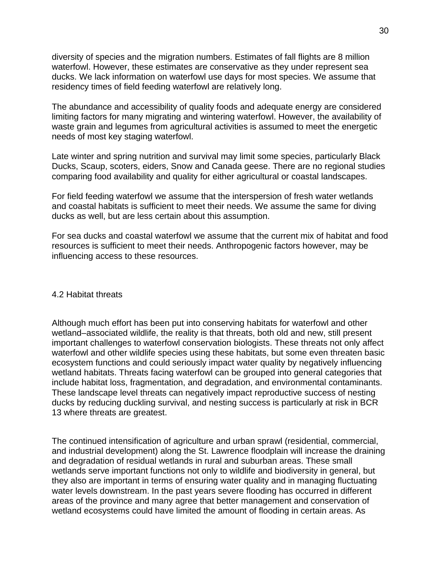diversity of species and the migration numbers. Estimates of fall flights are 8 million waterfowl. However, these estimates are conservative as they under represent sea ducks. We lack information on waterfowl use days for most species. We assume that residency times of field feeding waterfowl are relatively long.

The abundance and accessibility of quality foods and adequate energy are considered limiting factors for many migrating and wintering waterfowl. However, the availability of waste grain and legumes from agricultural activities is assumed to meet the energetic needs of most key staging waterfowl.

Late winter and spring nutrition and survival may limit some species, particularly Black Ducks, Scaup, scoters, eiders, Snow and Canada geese. There are no regional studies comparing food availability and quality for either agricultural or coastal landscapes.

For field feeding waterfowl we assume that the interspersion of fresh water wetlands and coastal habitats is sufficient to meet their needs. We assume the same for diving ducks as well, but are less certain about this assumption.

For sea ducks and coastal waterfowl we assume that the current mix of habitat and food resources is sufficient to meet their needs. Anthropogenic factors however, may be influencing access to these resources.

#### 4.2 Habitat threats

Although much effort has been put into conserving habitats for waterfowl and other wetland–associated wildlife, the reality is that threats, both old and new, still present important challenges to waterfowl conservation biologists. These threats not only affect waterfowl and other wildlife species using these habitats, but some even threaten basic ecosystem functions and could seriously impact water quality by negatively influencing wetland habitats. Threats facing waterfowl can be grouped into general categories that include habitat loss, fragmentation, and degradation, and environmental contaminants. These landscape level threats can negatively impact reproductive success of nesting ducks by reducing duckling survival, and nesting success is particularly at risk in BCR 13 where threats are greatest.

The continued intensification of agriculture and urban sprawl (residential, commercial, and industrial development) along the St. Lawrence floodplain will increase the draining and degradation of residual wetlands in rural and suburban areas. These small wetlands serve important functions not only to wildlife and biodiversity in general, but they also are important in terms of ensuring water quality and in managing fluctuating water levels downstream. In the past years severe flooding has occurred in different areas of the province and many agree that better management and conservation of wetland ecosystems could have limited the amount of flooding in certain areas. As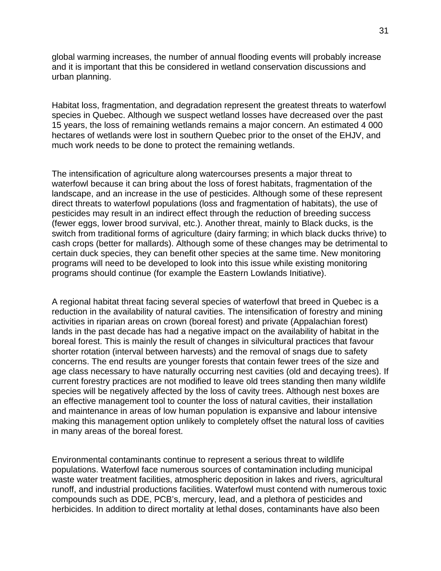global warming increases, the number of annual flooding events will probably increase and it is important that this be considered in wetland conservation discussions and urban planning.

Habitat loss, fragmentation, and degradation represent the greatest threats to waterfowl species in Quebec. Although we suspect wetland losses have decreased over the past 15 years, the loss of remaining wetlands remains a major concern. An estimated 4 000 hectares of wetlands were lost in southern Quebec prior to the onset of the EHJV, and much work needs to be done to protect the remaining wetlands.

The intensification of agriculture along watercourses presents a major threat to waterfowl because it can bring about the loss of forest habitats, fragmentation of the landscape, and an increase in the use of pesticides. Although some of these represent direct threats to waterfowl populations (loss and fragmentation of habitats), the use of pesticides may result in an indirect effect through the reduction of breeding success (fewer eggs, lower brood survival, etc.). Another threat, mainly to Black ducks, is the switch from traditional forms of agriculture (dairy farming; in which black ducks thrive) to cash crops (better for mallards). Although some of these changes may be detrimental to certain duck species, they can benefit other species at the same time. New monitoring programs will need to be developed to look into this issue while existing monitoring programs should continue (for example the Eastern Lowlands Initiative).

A regional habitat threat facing several species of waterfowl that breed in Quebec is a reduction in the availability of natural cavities. The intensification of forestry and mining activities in riparian areas on crown (boreal forest) and private (Appalachian forest) lands in the past decade has had a negative impact on the availability of habitat in the boreal forest. This is mainly the result of changes in silvicultural practices that favour shorter rotation (interval between harvests) and the removal of snags due to safety concerns. The end results are younger forests that contain fewer trees of the size and age class necessary to have naturally occurring nest cavities (old and decaying trees). If current forestry practices are not modified to leave old trees standing then many wildlife species will be negatively affected by the loss of cavity trees. Although nest boxes are an effective management tool to counter the loss of natural cavities, their installation and maintenance in areas of low human population is expansive and labour intensive making this management option unlikely to completely offset the natural loss of cavities in many areas of the boreal forest.

Environmental contaminants continue to represent a serious threat to wildlife populations. Waterfowl face numerous sources of contamination including municipal waste water treatment facilities, atmospheric deposition in lakes and rivers, agricultural runoff, and industrial productions facilities. Waterfowl must contend with numerous toxic compounds such as DDE, PCB's, mercury, lead, and a plethora of pesticides and herbicides. In addition to direct mortality at lethal doses, contaminants have also been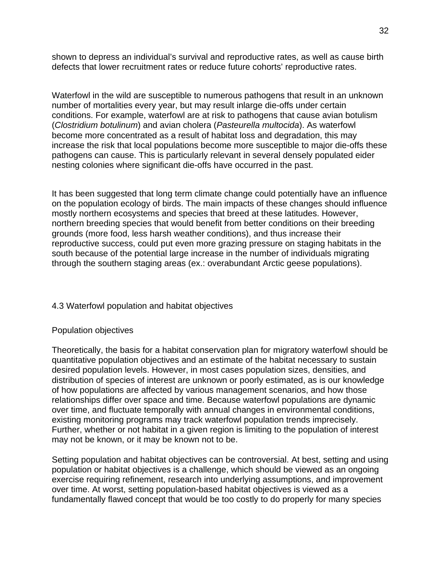shown to depress an individual's survival and reproductive rates, as well as cause birth defects that lower recruitment rates or reduce future cohorts' reproductive rates.

Waterfowl in the wild are susceptible to numerous pathogens that result in an unknown number of mortalities every year, but may result inlarge die-offs under certain conditions. For example, waterfowl are at risk to pathogens that cause avian botulism (*Clostridium botulinum*) and avian cholera (*Pasteurella multocida*). As waterfowl become more concentrated as a result of habitat loss and degradation, this may increase the risk that local populations become more susceptible to major die-offs these pathogens can cause. This is particularly relevant in several densely populated eider nesting colonies where significant die-offs have occurred in the past.

It has been suggested that long term climate change could potentially have an influence on the population ecology of birds. The main impacts of these changes should influence mostly northern ecosystems and species that breed at these latitudes. However, northern breeding species that would benefit from better conditions on their breeding grounds (more food, less harsh weather conditions), and thus increase their reproductive success, could put even more grazing pressure on staging habitats in the south because of the potential large increase in the number of individuals migrating through the southern staging areas (ex.: overabundant Arctic geese populations).

## 4.3 Waterfowl population and habitat objectives

#### Population objectives

Theoretically, the basis for a habitat conservation plan for migratory waterfowl should be quantitative population objectives and an estimate of the habitat necessary to sustain desired population levels. However, in most cases population sizes, densities, and distribution of species of interest are unknown or poorly estimated, as is our knowledge of how populations are affected by various management scenarios, and how those relationships differ over space and time. Because waterfowl populations are dynamic over time, and fluctuate temporally with annual changes in environmental conditions, existing monitoring programs may track waterfowl population trends imprecisely. Further, whether or not habitat in a given region is limiting to the population of interest may not be known, or it may be known not to be.

Setting population and habitat objectives can be controversial. At best, setting and using population or habitat objectives is a challenge, which should be viewed as an ongoing exercise requiring refinement, research into underlying assumptions, and improvement over time. At worst, setting population-based habitat objectives is viewed as a fundamentally flawed concept that would be too costly to do properly for many species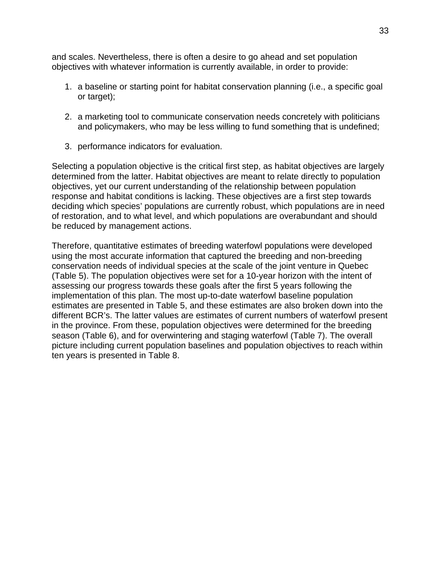and scales. Nevertheless, there is often a desire to go ahead and set population objectives with whatever information is currently available, in order to provide:

- 1. a baseline or starting point for habitat conservation planning (i.e., a specific goal or target);
- 2. a marketing tool to communicate conservation needs concretely with politicians and policymakers, who may be less willing to fund something that is undefined;
- 3. performance indicators for evaluation.

Selecting a population objective is the critical first step, as habitat objectives are largely determined from the latter. Habitat objectives are meant to relate directly to population objectives, yet our current understanding of the relationship between population response and habitat conditions is lacking. These objectives are a first step towards deciding which species' populations are currently robust, which populations are in need of restoration, and to what level, and which populations are overabundant and should be reduced by management actions.

Therefore, quantitative estimates of breeding waterfowl populations were developed using the most accurate information that captured the breeding and non-breeding conservation needs of individual species at the scale of the joint venture in Quebec (Table 5). The population objectives were set for a 10-year horizon with the intent of assessing our progress towards these goals after the first 5 years following the implementation of this plan. The most up-to-date waterfowl baseline population estimates are presented in Table 5, and these estimates are also broken down into the different BCR's. The latter values are estimates of current numbers of waterfowl present in the province. From these, population objectives were determined for the breeding season (Table 6), and for overwintering and staging waterfowl (Table 7). The overall picture including current population baselines and population objectives to reach within ten years is presented in Table 8.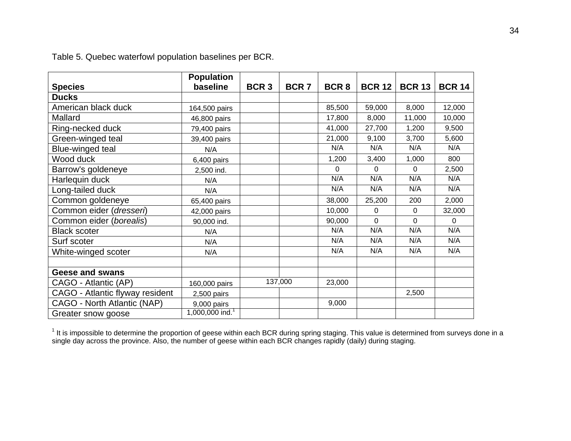|                                 | <b>Population</b>           |                  |             |                  |               |                |               |
|---------------------------------|-----------------------------|------------------|-------------|------------------|---------------|----------------|---------------|
| <b>Species</b>                  | baseline                    | BCR <sub>3</sub> | <b>BCR7</b> | BCR <sub>8</sub> | <b>BCR 12</b> | <b>BCR 13</b>  | <b>BCR 14</b> |
| <b>Ducks</b>                    |                             |                  |             |                  |               |                |               |
| American black duck             | 164,500 pairs               |                  |             | 85,500           | 59,000        | 8,000          | 12,000        |
| Mallard                         | 46,800 pairs                |                  |             | 17,800           | 8,000         | 11,000         | 10,000        |
| Ring-necked duck                | 79,400 pairs                |                  |             | 41,000           | 27,700        | 1,200          | 9,500         |
| Green-winged teal               | 39,400 pairs                |                  |             | 21,000           | 9,100         | 3,700          | 5,600         |
| Blue-winged teal                | N/A                         |                  |             | N/A              | N/A           | N/A            | N/A           |
| Wood duck                       | 6,400 pairs                 |                  |             | 1,200            | 3,400         | 1,000          | 800           |
| Barrow's goldeneye              | 2,500 ind.                  |                  |             | $\Omega$         | 0             | 0              | 2,500         |
| Harlequin duck                  | N/A                         |                  |             | N/A              | N/A           | N/A            | N/A           |
| Long-tailed duck                | N/A                         |                  |             | N/A              | N/A           | N/A            | N/A           |
| Common goldeneye                | 65,400 pairs                |                  |             | 38,000           | 25,200        | 200            | 2,000         |
| Common eider (dresseri)         | 42,000 pairs                |                  |             | 10,000           | 0             | 0              | 32,000        |
| Common eider (borealis)         | 90,000 ind.                 |                  |             | 90,000           | 0             | $\overline{0}$ | $\Omega$      |
| <b>Black scoter</b>             | N/A                         |                  |             | N/A              | N/A           | N/A            | N/A           |
| Surf scoter                     | N/A                         |                  |             | N/A              | N/A           | N/A            | N/A           |
| White-winged scoter             | N/A                         |                  |             | N/A              | N/A           | N/A            | N/A           |
|                                 |                             |                  |             |                  |               |                |               |
| <b>Geese and swans</b>          |                             |                  |             |                  |               |                |               |
| CAGO - Atlantic (AP)            | 160,000 pairs               |                  | 137,000     | 23,000           |               |                |               |
| CAGO - Atlantic flyway resident | 2,500 pairs                 |                  |             |                  |               | 2,500          |               |
| CAGO - North Atlantic (NAP)     | 9,000 pairs                 |                  |             | 9,000            |               |                |               |
| Greater snow goose              | 1,000,000 ind. <sup>1</sup> |                  |             |                  |               |                |               |

Table 5. Quebec waterfowl population baselines per BCR.

 $1$  It is impossible to determine the proportion of geese within each BCR during spring staging. This value is determined from surveys done in a single day across the province. Also, the number of geese within each BCR changes rapidly (daily) during staging.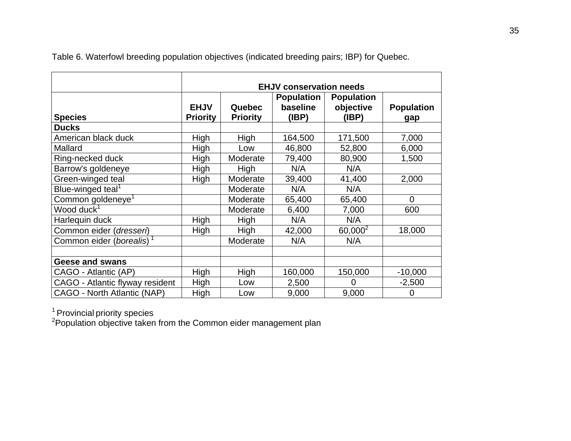|                                      | <b>EHJV conservation needs</b> |                           |                                        |                                         |                          |  |  |
|--------------------------------------|--------------------------------|---------------------------|----------------------------------------|-----------------------------------------|--------------------------|--|--|
| <b>Species</b>                       | <b>EHJV</b><br><b>Priority</b> | Quebec<br><b>Priority</b> | <b>Population</b><br>baseline<br>(IBP) | <b>Population</b><br>objective<br>(IBP) | <b>Population</b><br>gap |  |  |
| <b>Ducks</b>                         |                                |                           |                                        |                                         |                          |  |  |
| American black duck                  | High                           | High                      | 164,500                                | 171,500                                 | 7,000                    |  |  |
| Mallard                              | High                           | Low                       | 46,800                                 | 52,800                                  | 6,000                    |  |  |
| Ring-necked duck                     | High                           | Moderate                  | 79,400                                 | 80,900                                  | 1,500                    |  |  |
| Barrow's goldeneye                   | High                           | High                      | N/A                                    | N/A                                     |                          |  |  |
| Green-winged teal                    | High                           | Moderate                  | 39,400                                 | 41,400                                  | 2,000                    |  |  |
| Blue-winged teal <sup>1</sup>        |                                | Moderate                  | N/A                                    | N/A                                     |                          |  |  |
| Common goldeneye <sup>1</sup>        |                                | Moderate                  | 65,400                                 | 65,400                                  | $\overline{0}$           |  |  |
| Wood duck <sup>1</sup>               |                                | Moderate                  | 6,400                                  | 7,000                                   | 600                      |  |  |
| Harlequin duck                       | High                           | High                      | N/A                                    | N/A                                     |                          |  |  |
| Common eider (dresseri)              | High                           | High                      | 42,000                                 | $60,000^2$                              | 18,000                   |  |  |
| Common eider (borealis) <sup>1</sup> |                                | Moderate                  | N/A                                    | N/A                                     |                          |  |  |
|                                      |                                |                           |                                        |                                         |                          |  |  |
| <b>Geese and swans</b>               |                                |                           |                                        |                                         |                          |  |  |
| CAGO - Atlantic (AP)                 | High                           | High                      | 160,000                                | 150,000                                 | $-10,000$                |  |  |
| CAGO - Atlantic flyway resident      | High                           | Low                       | 2,500                                  | 0                                       | $-2,500$                 |  |  |
| CAGO - North Atlantic (NAP)          | High                           | Low                       | 9,000                                  | 9,000                                   | 0                        |  |  |

Table 6. Waterfowl breeding population objectives (indicated breeding pairs; IBP) for Quebec.

<sup>1</sup> Provincial priority species

<sup>2</sup>Population objective taken from the Common eider management plan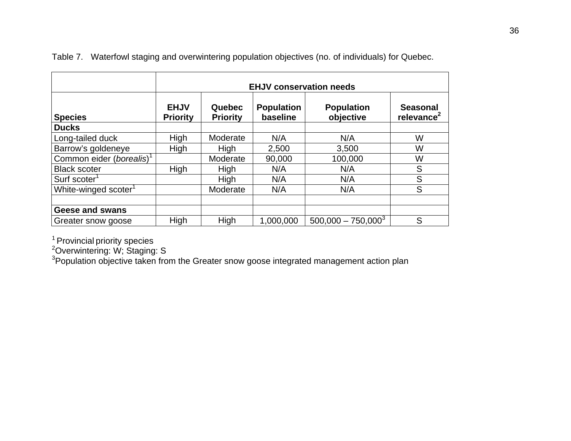|                                      | <b>EHJV conservation needs</b> |                           |                               |                                |                                           |
|--------------------------------------|--------------------------------|---------------------------|-------------------------------|--------------------------------|-------------------------------------------|
| <b>Species</b>                       | <b>EHJV</b><br><b>Priority</b> | Quebec<br><b>Priority</b> | <b>Population</b><br>baseline | <b>Population</b><br>objective | <b>Seasonal</b><br>relevance <sup>2</sup> |
| <b>Ducks</b>                         |                                |                           |                               |                                |                                           |
| Long-tailed duck                     | High                           | Moderate                  | N/A                           | N/A                            | W                                         |
| Barrow's goldeneye                   | High                           | High                      | 2,500                         | 3,500                          | W                                         |
| Common eider (borealis) <sup>1</sup> |                                | Moderate                  | 90,000                        | 100,000                        | W                                         |
| <b>Black scoter</b>                  | High                           | High                      | N/A                           | N/A                            | S                                         |
| Surf scoter <sup>1</sup>             |                                | High                      | N/A                           | N/A                            | S                                         |
| White-winged scoter <sup>1</sup>     |                                | Moderate                  | N/A                           | N/A                            | S                                         |
|                                      |                                |                           |                               |                                |                                           |
| <b>Geese and swans</b>               |                                |                           |                               |                                |                                           |
| Greater snow goose                   | High                           | High                      | 1,000,000                     | $500,000 - 750,000^{3}$        | S                                         |

Table 7. Waterfowl staging and overwintering population objectives (no. of individuals) for Quebec.

<sup>1</sup> Provincial priority species

<sup>2</sup>Overwintering: W; Staging: S

 ${}^{3}$ Population objective taken from the Greater snow goose integrated management action plan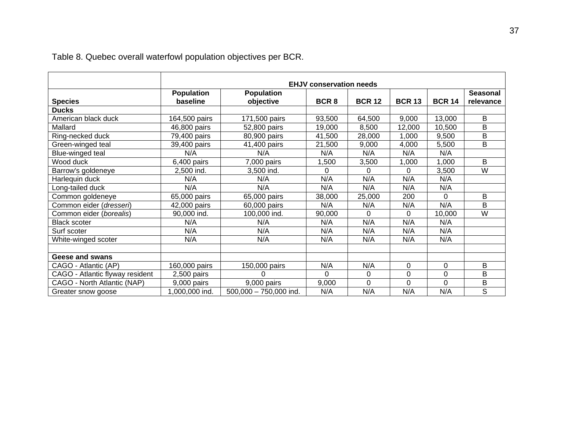|                                 | <b>EHJV conservation needs</b> |                          |                  |               |               |               |                 |
|---------------------------------|--------------------------------|--------------------------|------------------|---------------|---------------|---------------|-----------------|
|                                 | <b>Population</b>              | <b>Population</b>        |                  |               |               |               | <b>Seasonal</b> |
| <b>Species</b>                  | baseline                       | objective                | BCR <sub>8</sub> | <b>BCR 12</b> | <b>BCR 13</b> | <b>BCR 14</b> | relevance       |
| <b>Ducks</b>                    |                                |                          |                  |               |               |               |                 |
| American black duck             | 164,500 pairs                  | 171,500 pairs            | 93,500           | 64,500        | 9,000         | 13,000        | B               |
| Mallard                         | 46,800 pairs                   | 52,800 pairs             | 19,000           | 8,500         | 12,000        | 10,500        | B               |
| Ring-necked duck                | 79,400 pairs                   | 80,900 pairs             | 41,500           | 28,000        | 1,000         | 9,500         | B               |
| Green-winged teal               | 39,400 pairs                   | 41,400 pairs             | 21,500           | 9,000         | 4,000         | 5,500         | B               |
| Blue-winged teal                | N/A                            | N/A                      | N/A              | N/A           | N/A           | N/A           |                 |
| Wood duck                       | 6,400 pairs                    | 7,000 pairs              | 1,500            | 3,500         | 1,000         | 1,000         | B               |
| Barrow's goldeneye              | 2,500 ind.                     | 3,500 ind.               | 0                | $\Omega$      | 0             | 3,500         | W               |
| Harlequin duck                  | N/A                            | N/A                      | N/A              | N/A           | N/A           | N/A           |                 |
| Long-tailed duck                | N/A                            | N/A                      | N/A              | N/A           | N/A           | N/A           |                 |
| Common goldeneye                | 65,000 pairs                   | 65,000 pairs             | 38,000           | 25,000        | 200           | 0             | B               |
| Common eider (dresseri)         | 42,000 pairs                   | 60,000 pairs             | N/A              | N/A           | N/A           | N/A           | B               |
| Common eider (borealis)         | 90,000 ind.                    | 100,000 ind.             | 90,000           | $\Omega$      | 0             | 10,000        | W               |
| <b>Black scoter</b>             | N/A                            | N/A                      | N/A              | N/A           | N/A           | N/A           |                 |
| Surf scoter                     | N/A                            | N/A                      | N/A              | N/A           | N/A           | N/A           |                 |
| White-winged scoter             | N/A                            | N/A                      | N/A              | N/A           | N/A           | N/A           |                 |
|                                 |                                |                          |                  |               |               |               |                 |
| <b>Geese and swans</b>          |                                |                          |                  |               |               |               |                 |
| CAGO - Atlantic (AP)            | 160,000 pairs                  | 150,000 pairs            | N/A              | N/A           | 0             | 0             | B               |
| CAGO - Atlantic flyway resident | 2,500 pairs                    | $\Omega$                 | $\Omega$         | 0             | 0             | 0             | B               |
| CAGO - North Atlantic (NAP)     | 9,000 pairs                    | 9,000 pairs              | 9,000            | 0             | $\Omega$      | $\Omega$      | B               |
| Greater snow goose              | 1,000,000 ind.                 | $500,000 - 750,000$ ind. | N/A              | N/A           | N/A           | N/A           | $\overline{s}$  |

Table 8. Quebec overall waterfowl population objectives per BCR.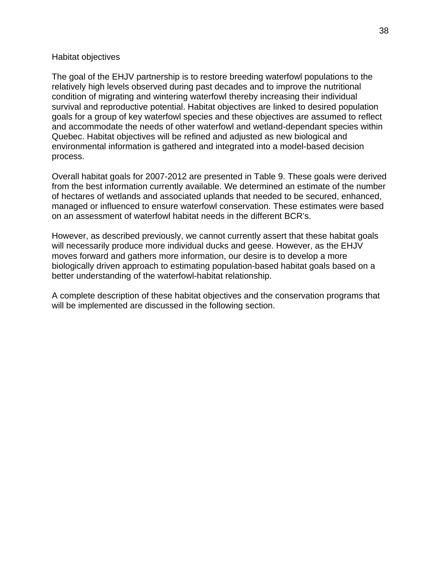#### Habitat objectives

The goal of the EHJV partnership is to restore breeding waterfowl populations to the relatively high levels observed during past decades and to improve the nutritional condition of migrating and wintering waterfowl thereby increasing their individual survival and reproductive potential. Habitat objectives are linked to desired population goals for a group of key waterfowl species and these objectives are assumed to reflect and accommodate the needs of other waterfowl and wetland-dependant species within Quebec. Habitat objectives will be refined and adjusted as new biological and environmental information is gathered and integrated into a model-based decision process.

Overall habitat goals for 2007-2012 are presented in Table 9. These goals were derived from the best information currently available. We determined an estimate of the number of hectares of wetlands and associated uplands that needed to be secured, enhanced, managed or influenced to ensure waterfowl conservation. These estimates were based on an assessment of waterfowl habitat needs in the different BCR's.

However, as described previously, we cannot currently assert that these habitat goals will necessarily produce more individual ducks and geese. However, as the EHJV moves forward and gathers more information, our desire is to develop a more biologically driven approach to estimating population-based habitat goals based on a better understanding of the waterfowl-habitat relationship.

A complete description of these habitat objectives and the conservation programs that will be implemented are discussed in the following section.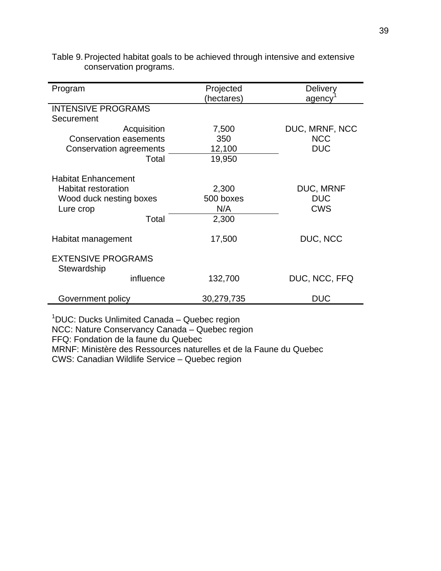| Program                                                                                                   | Projected                          | Delivery                                     |  |
|-----------------------------------------------------------------------------------------------------------|------------------------------------|----------------------------------------------|--|
|                                                                                                           | (hectares)                         | agency                                       |  |
| <b>INTENSIVE PROGRAMS</b>                                                                                 |                                    |                                              |  |
| Securement                                                                                                |                                    |                                              |  |
| Acquisition                                                                                               | 7,500                              | DUC, MRNF, NCC                               |  |
| <b>Conservation easements</b>                                                                             | 350                                | <b>NCC</b>                                   |  |
| Conservation agreements                                                                                   | 12,100                             | <b>DUC</b>                                   |  |
| Total                                                                                                     | 19,950                             |                                              |  |
| <b>Habitat Enhancement</b><br><b>Habitat restoration</b><br>Wood duck nesting boxes<br>Lure crop<br>Total | 2,300<br>500 boxes<br>N/A<br>2,300 | <b>DUC, MRNF</b><br><b>DUC</b><br><b>CWS</b> |  |
| Habitat management                                                                                        | 17,500                             | DUC, NCC                                     |  |
| <b>EXTENSIVE PROGRAMS</b><br>Stewardship                                                                  |                                    |                                              |  |
| influence                                                                                                 | 132,700                            | DUC, NCC, FFQ                                |  |
| Government policy                                                                                         | 30,279,735                         | <b>DUC</b>                                   |  |

|                        | Table 9. Projected habitat goals to be achieved through intensive and extensive |
|------------------------|---------------------------------------------------------------------------------|
| conservation programs. |                                                                                 |

<sup>1</sup>DUC: Ducks Unlimited Canada - Quebec region NCC: Nature Conservancy Canada – Quebec region FFQ: Fondation de la faune du Quebec MRNF: Ministère des Ressources naturelles et de la Faune du Quebec CWS: Canadian Wildlife Service – Quebec region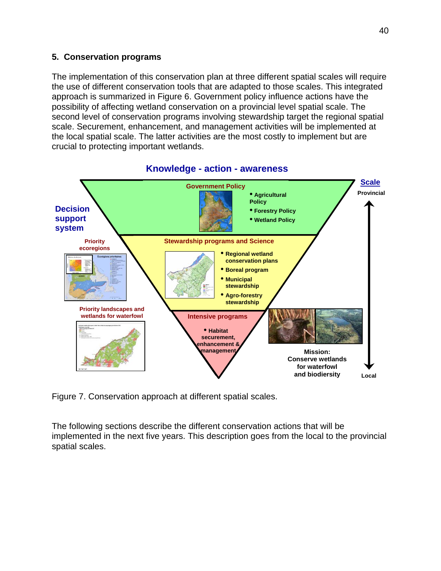#### **5. Conservation programs**

The implementation of this conservation plan at three different spatial scales will require the use of different conservation tools that are adapted to those scales. This integrated approach is summarized in Figure 6. Government policy influence actions have the possibility of affecting wetland conservation on a provincial level spatial scale. The second level of conservation programs involving stewardship target the regional spatial scale. Securement, enhancement, and management activities will be implemented at the local spatial scale. The latter activities are the most costly to implement but are crucial to protecting important wetlands.



#### **Knowledge - action - awareness**

Figure 7. Conservation approach at different spatial scales.

The following sections describe the different conservation actions that will be implemented in the next five years. This description goes from the local to the provincial spatial scales.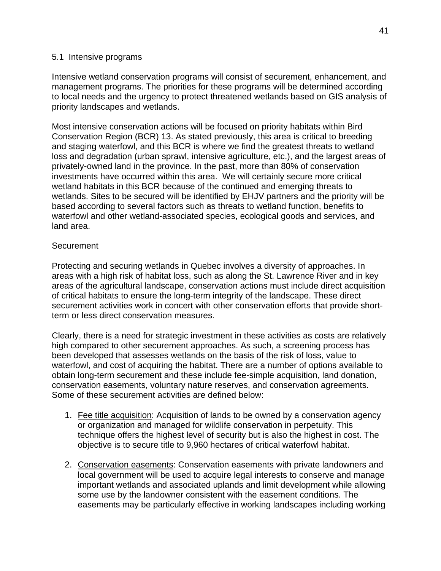#### 5.1 Intensive programs

Intensive wetland conservation programs will consist of securement, enhancement, and management programs. The priorities for these programs will be determined according to local needs and the urgency to protect threatened wetlands based on GIS analysis of priority landscapes and wetlands.

Most intensive conservation actions will be focused on priority habitats within Bird Conservation Region (BCR) 13. As stated previously, this area is critical to breeding and staging waterfowl, and this BCR is where we find the greatest threats to wetland loss and degradation (urban sprawl, intensive agriculture, etc.), and the largest areas of privately-owned land in the province. In the past, more than 80% of conservation investments have occurred within this area. We will certainly secure more critical wetland habitats in this BCR because of the continued and emerging threats to wetlands. Sites to be secured will be identified by EHJV partners and the priority will be based according to several factors such as threats to wetland function, benefits to waterfowl and other wetland-associated species, ecological goods and services, and land area.

#### **Securement**

Protecting and securing wetlands in Quebec involves a diversity of approaches. In areas with a high risk of habitat loss, such as along the St. Lawrence River and in key areas of the agricultural landscape, conservation actions must include direct acquisition of critical habitats to ensure the long-term integrity of the landscape. These direct securement activities work in concert with other conservation efforts that provide shortterm or less direct conservation measures.

Clearly, there is a need for strategic investment in these activities as costs are relatively high compared to other securement approaches. As such, a screening process has been developed that assesses wetlands on the basis of the risk of loss, value to waterfowl, and cost of acquiring the habitat. There are a number of options available to obtain long-term securement and these include fee-simple acquisition, land donation, conservation easements, voluntary nature reserves, and conservation agreements. Some of these securement activities are defined below:

- 1. Fee title acquisition: Acquisition of lands to be owned by a conservation agency or organization and managed for wildlife conservation in perpetuity. This technique offers the highest level of security but is also the highest in cost. The objective is to secure title to 9,960 hectares of critical waterfowl habitat.
- 2. Conservation easements: Conservation easements with private landowners and local government will be used to acquire legal interests to conserve and manage important wetlands and associated uplands and limit development while allowing some use by the landowner consistent with the easement conditions. The easements may be particularly effective in working landscapes including working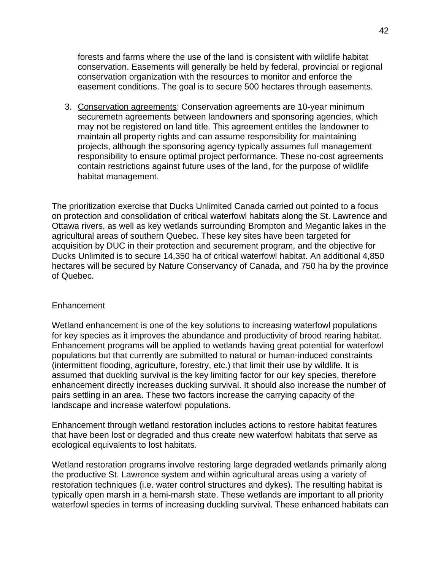forests and farms where the use of the land is consistent with wildlife habitat conservation. Easements will generally be held by federal, provincial or regional conservation organization with the resources to monitor and enforce the easement conditions. The goal is to secure 500 hectares through easements.

3. Conservation agreements: Conservation agreements are 10-year minimum securemetn agreements between landowners and sponsoring agencies, which may not be registered on land title. This agreement entitles the landowner to maintain all property rights and can assume responsibility for maintaining projects, although the sponsoring agency typically assumes full management responsibility to ensure optimal project performance. These no-cost agreements contain restrictions against future uses of the land, for the purpose of wildlife habitat management.

The prioritization exercise that Ducks Unlimited Canada carried out pointed to a focus on protection and consolidation of critical waterfowl habitats along the St. Lawrence and Ottawa rivers, as well as key wetlands surrounding Brompton and Megantic lakes in the agricultural areas of southern Quebec. These key sites have been targeted for acquisition by DUC in their protection and securement program, and the objective for Ducks Unlimited is to secure 14,350 ha of critical waterfowl habitat. An additional 4,850 hectares will be secured by Nature Conservancy of Canada, and 750 ha by the province of Quebec.

#### Enhancement

Wetland enhancement is one of the key solutions to increasing waterfowl populations for key species as it improves the abundance and productivity of brood rearing habitat. Enhancement programs will be applied to wetlands having great potential for waterfowl populations but that currently are submitted to natural or human-induced constraints (intermittent flooding, agriculture, forestry, etc.) that limit their use by wildlife. It is assumed that duckling survival is the key limiting factor for our key species, therefore enhancement directly increases duckling survival. It should also increase the number of pairs settling in an area. These two factors increase the carrying capacity of the landscape and increase waterfowl populations.

Enhancement through wetland restoration includes actions to restore habitat features that have been lost or degraded and thus create new waterfowl habitats that serve as ecological equivalents to lost habitats.

Wetland restoration programs involve restoring large degraded wetlands primarily along the productive St. Lawrence system and within agricultural areas using a variety of restoration techniques (i.e. water control structures and dykes). The resulting habitat is typically open marsh in a hemi-marsh state. These wetlands are important to all priority waterfowl species in terms of increasing duckling survival. These enhanced habitats can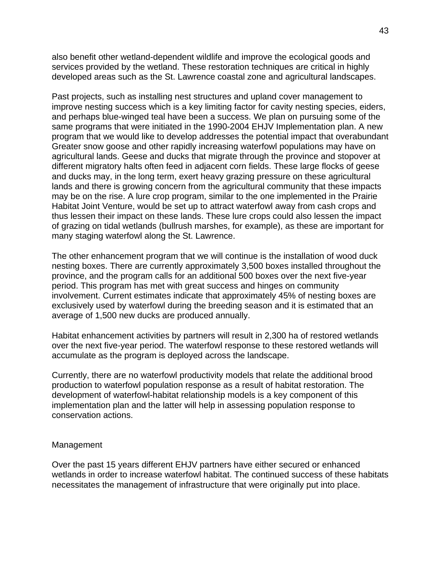also benefit other wetland-dependent wildlife and improve the ecological goods and services provided by the wetland. These restoration techniques are critical in highly developed areas such as the St. Lawrence coastal zone and agricultural landscapes.

Past projects, such as installing nest structures and upland cover management to improve nesting success which is a key limiting factor for cavity nesting species, eiders, and perhaps blue-winged teal have been a success. We plan on pursuing some of the same programs that were initiated in the 1990-2004 EHJV Implementation plan. A new program that we would like to develop addresses the potential impact that overabundant Greater snow goose and other rapidly increasing waterfowl populations may have on agricultural lands. Geese and ducks that migrate through the province and stopover at different migratory halts often feed in adjacent corn fields. These large flocks of geese and ducks may, in the long term, exert heavy grazing pressure on these agricultural lands and there is growing concern from the agricultural community that these impacts may be on the rise. A lure crop program, similar to the one implemented in the Prairie Habitat Joint Venture, would be set up to attract waterfowl away from cash crops and thus lessen their impact on these lands. These lure crops could also lessen the impact of grazing on tidal wetlands (bullrush marshes, for example), as these are important for many staging waterfowl along the St. Lawrence.

The other enhancement program that we will continue is the installation of wood duck nesting boxes. There are currently approximately 3,500 boxes installed throughout the province, and the program calls for an additional 500 boxes over the next five-year period. This program has met with great success and hinges on community involvement. Current estimates indicate that approximately 45% of nesting boxes are exclusively used by waterfowl during the breeding season and it is estimated that an average of 1,500 new ducks are produced annually.

Habitat enhancement activities by partners will result in 2,300 ha of restored wetlands over the next five-year period. The waterfowl response to these restored wetlands will accumulate as the program is deployed across the landscape.

Currently, there are no waterfowl productivity models that relate the additional brood production to waterfowl population response as a result of habitat restoration. The development of waterfowl-habitat relationship models is a key component of this implementation plan and the latter will help in assessing population response to conservation actions.

#### Management

Over the past 15 years different EHJV partners have either secured or enhanced wetlands in order to increase waterfowl habitat. The continued success of these habitats necessitates the management of infrastructure that were originally put into place.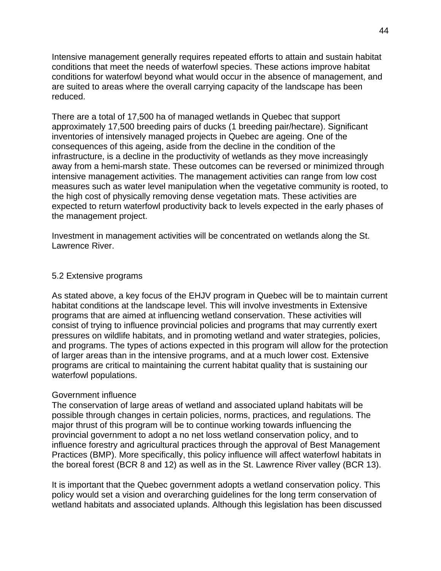Intensive management generally requires repeated efforts to attain and sustain habitat conditions that meet the needs of waterfowl species. These actions improve habitat conditions for waterfowl beyond what would occur in the absence of management, and are suited to areas where the overall carrying capacity of the landscape has been reduced.

There are a total of 17,500 ha of managed wetlands in Quebec that support approximately 17,500 breeding pairs of ducks (1 breeding pair/hectare). Significant inventories of intensively managed projects in Quebec are ageing. One of the consequences of this ageing, aside from the decline in the condition of the infrastructure, is a decline in the productivity of wetlands as they move increasingly away from a hemi-marsh state. These outcomes can be reversed or minimized through intensive management activities. The management activities can range from low cost measures such as water level manipulation when the vegetative community is rooted, to the high cost of physically removing dense vegetation mats. These activities are expected to return waterfowl productivity back to levels expected in the early phases of the management project.

Investment in management activities will be concentrated on wetlands along the St. Lawrence River.

#### 5.2 Extensive programs

As stated above, a key focus of the EHJV program in Quebec will be to maintain current habitat conditions at the landscape level. This will involve investments in Extensive programs that are aimed at influencing wetland conservation. These activities will consist of trying to influence provincial policies and programs that may currently exert pressures on wildlife habitats, and in promoting wetland and water strategies, policies, and programs. The types of actions expected in this program will allow for the protection of larger areas than in the intensive programs, and at a much lower cost. Extensive programs are critical to maintaining the current habitat quality that is sustaining our waterfowl populations.

## Government influence

The conservation of large areas of wetland and associated upland habitats will be possible through changes in certain policies, norms, practices, and regulations. The major thrust of this program will be to continue working towards influencing the provincial government to adopt a no net loss wetland conservation policy, and to influence forestry and agricultural practices through the approval of Best Management Practices (BMP). More specifically, this policy influence will affect waterfowl habitats in the boreal forest (BCR 8 and 12) as well as in the St. Lawrence River valley (BCR 13).

It is important that the Quebec government adopts a wetland conservation policy. This policy would set a vision and overarching guidelines for the long term conservation of wetland habitats and associated uplands. Although this legislation has been discussed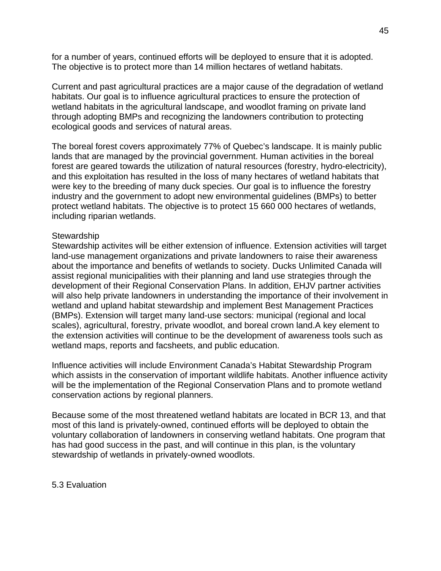for a number of years, continued efforts will be deployed to ensure that it is adopted. The objective is to protect more than 14 million hectares of wetland habitats.

Current and past agricultural practices are a major cause of the degradation of wetland habitats. Our goal is to influence agricultural practices to ensure the protection of wetland habitats in the agricultural landscape, and woodlot framing on private land through adopting BMPs and recognizing the landowners contribution to protecting ecological goods and services of natural areas.

The boreal forest covers approximately 77% of Quebec's landscape. It is mainly public lands that are managed by the provincial government. Human activities in the boreal forest are geared towards the utilization of natural resources (forestry, hydro-electricity), and this exploitation has resulted in the loss of many hectares of wetland habitats that were key to the breeding of many duck species. Our goal is to influence the forestry industry and the government to adopt new environmental guidelines (BMPs) to better protect wetland habitats. The objective is to protect 15 660 000 hectares of wetlands, including riparian wetlands.

#### **Stewardship**

Stewardship activites will be either extension of influence. Extension activities will target land-use management organizations and private landowners to raise their awareness about the importance and benefits of wetlands to society. Ducks Unlimited Canada will assist regional municipalities with their planning and land use strategies through the development of their Regional Conservation Plans. In addition, EHJV partner activities will also help private landowners in understanding the importance of their involvement in wetland and upland habitat stewardship and implement Best Management Practices (BMPs). Extension will target many land-use sectors: municipal (regional and local scales), agricultural, forestry, private woodlot, and boreal crown land.A key element to the extension activities will continue to be the development of awareness tools such as wetland maps, reports and facsheets, and public education.

Influence activities will include Environment Canada's Habitat Stewardship Program which assists in the conservation of important wildlife habitats. Another influence activity will be the implementation of the Regional Conservation Plans and to promote wetland conservation actions by regional planners.

Because some of the most threatened wetland habitats are located in BCR 13, and that most of this land is privately-owned, continued efforts will be deployed to obtain the voluntary collaboration of landowners in conserving wetland habitats. One program that has had good success in the past, and will continue in this plan, is the voluntary stewardship of wetlands in privately-owned woodlots.

5.3 Evaluation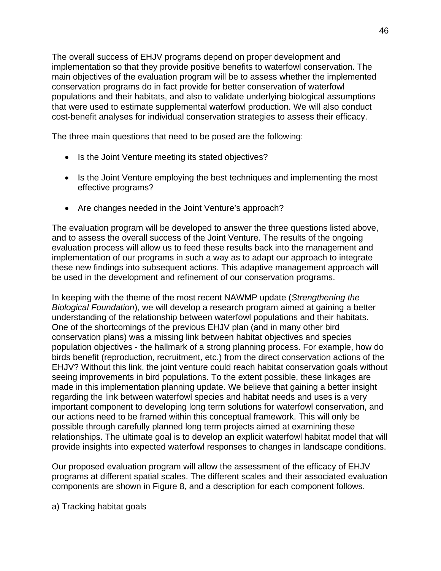The overall success of EHJV programs depend on proper development and implementation so that they provide positive benefits to waterfowl conservation. The main objectives of the evaluation program will be to assess whether the implemented conservation programs do in fact provide for better conservation of waterfowl populations and their habitats, and also to validate underlying biological assumptions that were used to estimate supplemental waterfowl production. We will also conduct cost-benefit analyses for individual conservation strategies to assess their efficacy.

The three main questions that need to be posed are the following:

- Is the Joint Venture meeting its stated objectives?
- Is the Joint Venture employing the best techniques and implementing the most effective programs?
- Are changes needed in the Joint Venture's approach?

The evaluation program will be developed to answer the three questions listed above, and to assess the overall success of the Joint Venture. The results of the ongoing evaluation process will allow us to feed these results back into the management and implementation of our programs in such a way as to adapt our approach to integrate these new findings into subsequent actions. This adaptive management approach will be used in the development and refinement of our conservation programs.

In keeping with the theme of the most recent NAWMP update (*Strengthening the Biological Foundation*), we will develop a research program aimed at gaining a better understanding of the relationship between waterfowl populations and their habitats. One of the shortcomings of the previous EHJV plan (and in many other bird conservation plans) was a missing link between habitat objectives and species population objectives - the hallmark of a strong planning process. For example, how do birds benefit (reproduction, recruitment, etc.) from the direct conservation actions of the EHJV? Without this link, the joint venture could reach habitat conservation goals without seeing improvements in bird populations. To the extent possible, these linkages are made in this implementation planning update. We believe that gaining a better insight regarding the link between waterfowl species and habitat needs and uses is a very important component to developing long term solutions for waterfowl conservation, and our actions need to be framed within this conceptual framework. This will only be possible through carefully planned long term projects aimed at examining these relationships. The ultimate goal is to develop an explicit waterfowl habitat model that will provide insights into expected waterfowl responses to changes in landscape conditions.

Our proposed evaluation program will allow the assessment of the efficacy of EHJV programs at different spatial scales. The different scales and their associated evaluation components are shown in Figure 8, and a description for each component follows.

a) Tracking habitat goals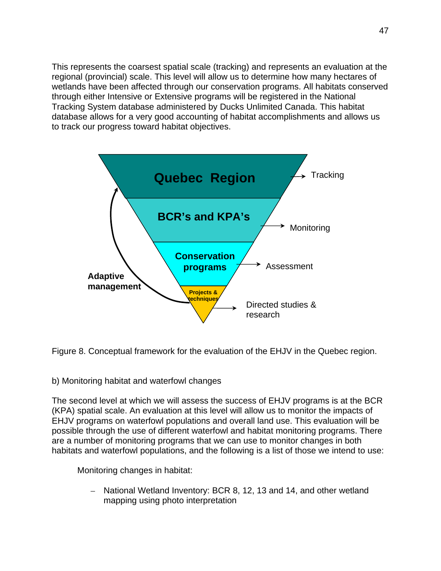This represents the coarsest spatial scale (tracking) and represents an evaluation at the regional (provincial) scale. This level will allow us to determine how many hectares of wetlands have been affected through our conservation programs. All habitats conserved through either Intensive or Extensive programs will be registered in the National Tracking System database administered by Ducks Unlimited Canada. This habitat database allows for a very good accounting of habitat accomplishments and allows us to track our progress toward habitat objectives.



Figure 8. Conceptual framework for the evaluation of the EHJV in the Quebec region.

## b) Monitoring habitat and waterfowl changes

The second level at which we will assess the success of EHJV programs is at the BCR (KPA) spatial scale. An evaluation at this level will allow us to monitor the impacts of EHJV programs on waterfowl populations and overall land use. This evaluation will be possible through the use of different waterfowl and habitat monitoring programs. There are a number of monitoring programs that we can use to monitor changes in both habitats and waterfowl populations, and the following is a list of those we intend to use:

Monitoring changes in habitat:

– National Wetland Inventory: BCR 8, 12, 13 and 14, and other wetland mapping using photo interpretation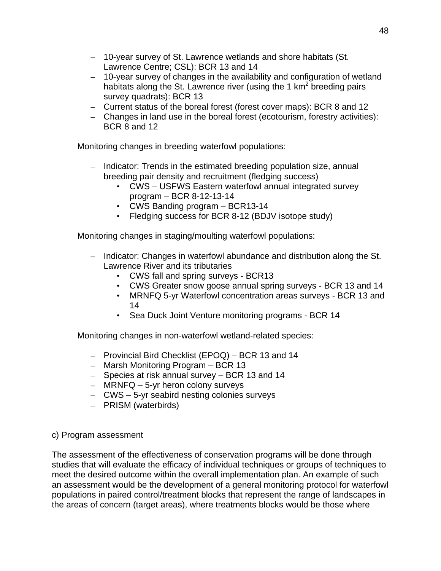- 10-year survey of St. Lawrence wetlands and shore habitats (St. Lawrence Centre; CSL): BCR 13 and 14
- 10-year survey of changes in the availability and configuration of wetland habitats along the St. Lawrence river (using the 1  $km^2$  breeding pairs survey quadrats): BCR 13
- Current status of the boreal forest (forest cover maps): BCR 8 and 12
- Changes in land use in the boreal forest (ecotourism, forestry activities): BCR 8 and 12

Monitoring changes in breeding waterfowl populations:

- Indicator: Trends in the estimated breeding population size, annual breeding pair density and recruitment (fledging success)
	- CWS USFWS Eastern waterfowl annual integrated survey program – BCR 8-12-13-14
	- CWS Banding program BCR13-14
	- Fledging success for BCR 8-12 (BDJV isotope study)

Monitoring changes in staging/moulting waterfowl populations:

- Indicator: Changes in waterfowl abundance and distribution along the St. Lawrence River and its tributaries
	- CWS fall and spring surveys BCR13
	- CWS Greater snow goose annual spring surveys BCR 13 and 14
	- MRNFQ 5-yr Waterfowl concentration areas surveys BCR 13 and 14
	- Sea Duck Joint Venture monitoring programs BCR 14

Monitoring changes in non-waterfowl wetland-related species:

- Provincial Bird Checklist (EPOQ) BCR 13 and 14
- Marsh Monitoring Program BCR 13
- Species at risk annual survey BCR 13 and 14
- MRNFQ 5-yr heron colony surveys
- CWS 5-yr seabird nesting colonies surveys
- PRISM (waterbirds)

## c) Program assessment

The assessment of the effectiveness of conservation programs will be done through studies that will evaluate the efficacy of individual techniques or groups of techniques to meet the desired outcome within the overall implementation plan. An example of such an assessment would be the development of a general monitoring protocol for waterfowl populations in paired control/treatment blocks that represent the range of landscapes in the areas of concern (target areas), where treatments blocks would be those where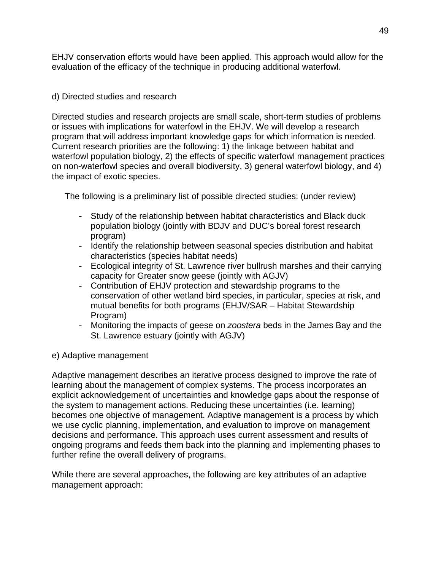EHJV conservation efforts would have been applied. This approach would allow for the evaluation of the efficacy of the technique in producing additional waterfowl.

# d) Directed studies and research

Directed studies and research projects are small scale, short-term studies of problems or issues with implications for waterfowl in the EHJV. We will develop a research program that will address important knowledge gaps for which information is needed. Current research priorities are the following: 1) the linkage between habitat and waterfowl population biology, 2) the effects of specific waterfowl management practices on non-waterfowl species and overall biodiversity, 3) general waterfowl biology, and 4) the impact of exotic species.

The following is a preliminary list of possible directed studies: (under review)

- Study of the relationship between habitat characteristics and Black duck population biology (jointly with BDJV and DUC's boreal forest research program)
- Identify the relationship between seasonal species distribution and habitat characteristics (species habitat needs)
- Ecological integrity of St. Lawrence river bullrush marshes and their carrying capacity for Greater snow geese (jointly with AGJV)
- Contribution of EHJV protection and stewardship programs to the conservation of other wetland bird species, in particular, species at risk, and mutual benefits for both programs (EHJV/SAR – Habitat Stewardship Program)
- Monitoring the impacts of geese on *zoostera* beds in the James Bay and the St. Lawrence estuary (jointly with AGJV)

# e) Adaptive management

Adaptive management describes an iterative process designed to improve the rate of learning about the management of complex systems. The process incorporates an explicit acknowledgement of uncertainties and knowledge gaps about the response of the system to management actions. Reducing these uncertainties (i.e. learning) becomes one objective of management. Adaptive management is a process by which we use cyclic planning, implementation, and evaluation to improve on management decisions and performance. This approach uses current assessment and results of ongoing programs and feeds them back into the planning and implementing phases to further refine the overall delivery of programs.

While there are several approaches, the following are key attributes of an adaptive management approach: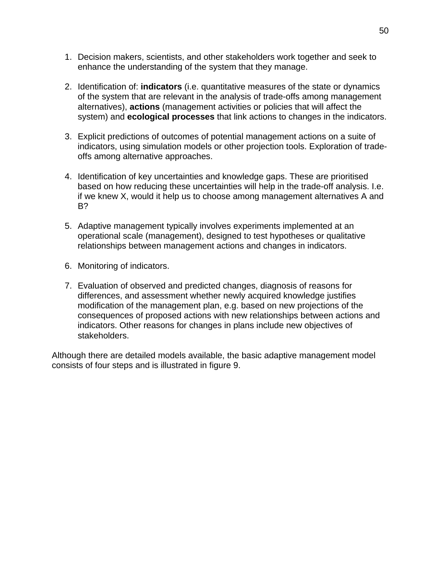- 1. Decision makers, scientists, and other stakeholders work together and seek to enhance the understanding of the system that they manage.
- 2. Identification of: **indicators** (i.e. quantitative measures of the state or dynamics of the system that are relevant in the analysis of trade-offs among management alternatives), **actions** (management activities or policies that will affect the system) and **ecological processes** that link actions to changes in the indicators.
- 3. Explicit predictions of outcomes of potential management actions on a suite of indicators, using simulation models or other projection tools. Exploration of tradeoffs among alternative approaches.
- 4. Identification of key uncertainties and knowledge gaps. These are prioritised based on how reducing these uncertainties will help in the trade-off analysis. I.e. if we knew X, would it help us to choose among management alternatives A and B?
- 5. Adaptive management typically involves experiments implemented at an operational scale (management), designed to test hypotheses or qualitative relationships between management actions and changes in indicators.
- 6. Monitoring of indicators.
- 7. Evaluation of observed and predicted changes, diagnosis of reasons for differences, and assessment whether newly acquired knowledge justifies modification of the management plan, e.g. based on new projections of the consequences of proposed actions with new relationships between actions and indicators. Other reasons for changes in plans include new objectives of stakeholders.

Although there are detailed models available, the basic adaptive management model consists of four steps and is illustrated in figure 9.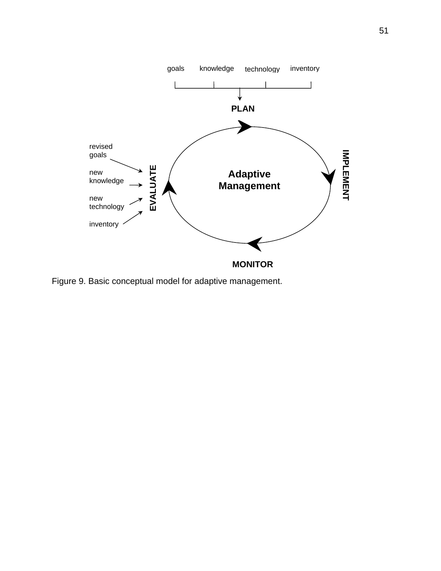

Figure 9. Basic conceptual model for adaptive management.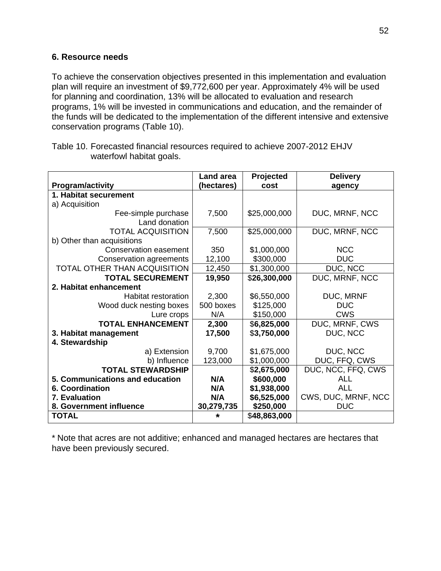## **6. Resource needs**

To achieve the conservation objectives presented in this implementation and evaluation plan will require an investment of \$9,772,600 per year. Approximately 4% will be used for planning and coordination, 13% will be allocated to evaluation and research programs, 1% will be invested in communications and education, and the remainder of the funds will be dedicated to the implementation of the different intensive and extensive conservation programs (Table 10).

|                                 | <b>Land area</b> | Projected    | <b>Delivery</b>     |
|---------------------------------|------------------|--------------|---------------------|
| <b>Program/activity</b>         | (hectares)       | cost         | agency              |
| 1. Habitat securement           |                  |              |                     |
| a) Acquisition                  |                  |              |                     |
| Fee-simple purchase             | 7,500            | \$25,000,000 | DUC, MRNF, NCC      |
| Land donation                   |                  |              |                     |
| <b>TOTAL ACQUISITION</b>        | 7,500            | \$25,000,000 | DUC, MRNF, NCC      |
| b) Other than acquisitions      |                  |              |                     |
| Conservation easement           | 350              | \$1,000,000  | <b>NCC</b>          |
| Conservation agreements         | 12,100           | \$300,000    | <b>DUC</b>          |
| TOTAL OTHER THAN ACQUISITION    | 12,450           | \$1,300,000  | DUC, NCC            |
| <b>TOTAL SECUREMENT</b>         | 19,950           | \$26,300,000 | DUC, MRNF, NCC      |
| 2. Habitat enhancement          |                  |              |                     |
| Habitat restoration             | 2,300            | \$6,550,000  | DUC, MRNF           |
| Wood duck nesting boxes         | 500 boxes        | \$125,000    | <b>DUC</b>          |
| Lure crops                      | N/A              | \$150,000    | <b>CWS</b>          |
| <b>TOTAL ENHANCEMENT</b>        | 2,300            | \$6,825,000  | DUC, MRNF, CWS      |
| 3. Habitat management           | 17,500           | \$3,750,000  | DUC, NCC            |
| 4. Stewardship                  |                  |              |                     |
| a) Extension                    | 9,700            | \$1,675,000  | DUC, NCC            |
| b) Influence                    | 123,000          | \$1,000,000  | DUC, FFQ, CWS       |
| <b>TOTAL STEWARDSHIP</b>        |                  | \$2,675,000  | DUC, NCC, FFQ, CWS  |
| 5. Communications and education | N/A              | \$600,000    | <b>ALL</b>          |
| <b>6. Coordination</b>          | N/A              | \$1,938,000  | ALL                 |
| 7. Evaluation                   | N/A              | \$6,525,000  | CWS, DUC, MRNF, NCC |
| 8. Government influence         | 30,279,735       | \$250,000    | <b>DUC</b>          |
| <b>TOTAL</b>                    | ÷                | \$48,863,000 |                     |

Table 10. Forecasted financial resources required to achieve 2007-2012 EHJV waterfowl habitat goals.

\* Note that acres are not additive; enhanced and managed hectares are hectares that have been previously secured.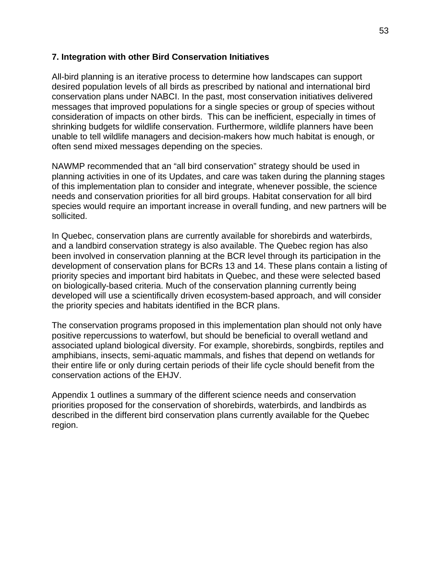#### **7. Integration with other Bird Conservation Initiatives**

All-bird planning is an iterative process to determine how landscapes can support desired population levels of all birds as prescribed by national and international bird conservation plans under NABCI. In the past, most conservation initiatives delivered messages that improved populations for a single species or group of species without consideration of impacts on other birds. This can be inefficient, especially in times of shrinking budgets for wildlife conservation. Furthermore, wildlife planners have been unable to tell wildlife managers and decision-makers how much habitat is enough, or often send mixed messages depending on the species.

NAWMP recommended that an "all bird conservation" strategy should be used in planning activities in one of its Updates, and care was taken during the planning stages of this implementation plan to consider and integrate, whenever possible, the science needs and conservation priorities for all bird groups. Habitat conservation for all bird species would require an important increase in overall funding, and new partners will be sollicited.

In Quebec, conservation plans are currently available for shorebirds and waterbirds, and a landbird conservation strategy is also available. The Quebec region has also been involved in conservation planning at the BCR level through its participation in the development of conservation plans for BCRs 13 and 14. These plans contain a listing of priority species and important bird habitats in Quebec, and these were selected based on biologically-based criteria. Much of the conservation planning currently being developed will use a scientifically driven ecosystem-based approach, and will consider the priority species and habitats identified in the BCR plans.

The conservation programs proposed in this implementation plan should not only have positive repercussions to waterfowl, but should be beneficial to overall wetland and associated upland biological diversity. For example, shorebirds, songbirds, reptiles and amphibians, insects, semi-aquatic mammals, and fishes that depend on wetlands for their entire life or only during certain periods of their life cycle should benefit from the conservation actions of the EHJV.

Appendix 1 outlines a summary of the different science needs and conservation priorities proposed for the conservation of shorebirds, waterbirds, and landbirds as described in the different bird conservation plans currently available for the Quebec region.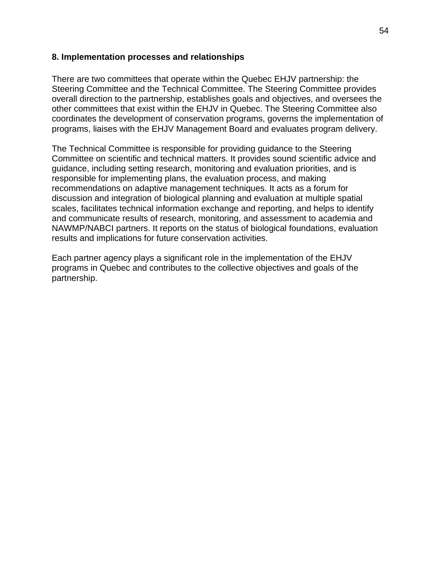#### **8. Implementation processes and relationships**

There are two committees that operate within the Quebec EHJV partnership: the Steering Committee and the Technical Committee. The Steering Committee provides overall direction to the partnership, establishes goals and objectives, and oversees the other committees that exist within the EHJV in Quebec. The Steering Committee also coordinates the development of conservation programs, governs the implementation of programs, liaises with the EHJV Management Board and evaluates program delivery.

The Technical Committee is responsible for providing guidance to the Steering Committee on scientific and technical matters. It provides sound scientific advice and guidance, including setting research, monitoring and evaluation priorities, and is responsible for implementing plans, the evaluation process, and making recommendations on adaptive management techniques. It acts as a forum for discussion and integration of biological planning and evaluation at multiple spatial scales, facilitates technical information exchange and reporting, and helps to identify and communicate results of research, monitoring, and assessment to academia and NAWMP/NABCI partners. It reports on the status of biological foundations, evaluation results and implications for future conservation activities.

Each partner agency plays a significant role in the implementation of the EHJV programs in Quebec and contributes to the collective objectives and goals of the partnership.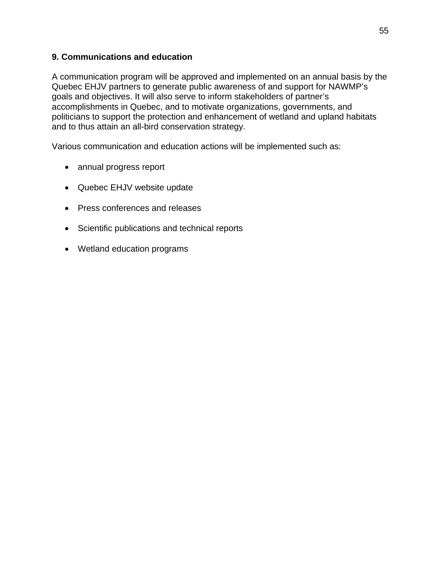## **9. Communications and education**

A communication program will be approved and implemented on an annual basis by the Quebec EHJV partners to generate public awareness of and support for NAWMP's goals and objectives. It will also serve to inform stakeholders of partner's accomplishments in Quebec, and to motivate organizations, governments, and politicians to support the protection and enhancement of wetland and upland habitats and to thus attain an all-bird conservation strategy.

Various communication and education actions will be implemented such as:

- annual progress report
- Quebec EHJV website update
- Press conferences and releases
- Scientific publications and technical reports
- Wetland education programs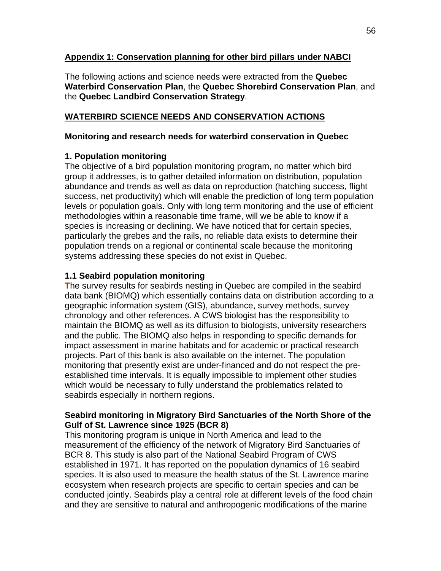## **Appendix 1: Conservation planning for other bird pillars under NABCI**

The following actions and science needs were extracted from the **Quebec Waterbird Conservation Plan**, the **Quebec Shorebird Conservation Plan**, and the **Quebec Landbird Conservation Strategy**.

# **WATERBIRD SCIENCE NEEDS AND CONSERVATION ACTIONS**

## **Monitoring and research needs for waterbird conservation in Quebec**

## **1. Population monitoring**

**T**he objective of a bird population monitoring program, no matter which bird group it addresses, is to gather detailed information on distribution, population abundance and trends as well as data on reproduction (hatching success, flight success, net productivity) which will enable the prediction of long term population levels or population goals. Only with long term monitoring and the use of efficient methodologies within a reasonable time frame, will we be able to know if a species is increasing or declining. We have noticed that for certain species, particularly the grebes and the rails, no reliable data exists to determine their population trends on a regional or continental scale because the monitoring systems addressing these species do not exist in Quebec.

## **1.1 Seabird population monitoring**

**T**he survey results for seabirds nesting in Quebec are compiled in the seabird data bank (BIOMQ) which essentially contains data on distribution according to a geographic information system (GIS), abundance, survey methods, survey chronology and other references. A CWS biologist has the responsibility to maintain the BIOMQ as well as its diffusion to biologists, university researchers and the public. The BIOMQ also helps in responding to specific demands for impact assessment in marine habitats and for academic or practical research projects. Part of this bank is also available on the internet. The population monitoring that presently exist are under-financed and do not respect the preestablished time intervals. It is equally impossible to implement other studies which would be necessary to fully understand the problematics related to seabirds especially in northern regions.

## **Seabird monitoring in Migratory Bird Sanctuaries of the North Shore of the Gulf of St. Lawrence since 1925 (BCR 8)**

This monitoring program is unique in North America and lead to the measurement of the efficiency of the network of Migratory Bird Sanctuaries of BCR 8. This study is also part of the National Seabird Program of CWS established in 1971. It has reported on the population dynamics of 16 seabird species. It is also used to measure the health status of the St. Lawrence marine ecosystem when research projects are specific to certain species and can be conducted jointly. Seabirds play a central role at different levels of the food chain and they are sensitive to natural and anthropogenic modifications of the marine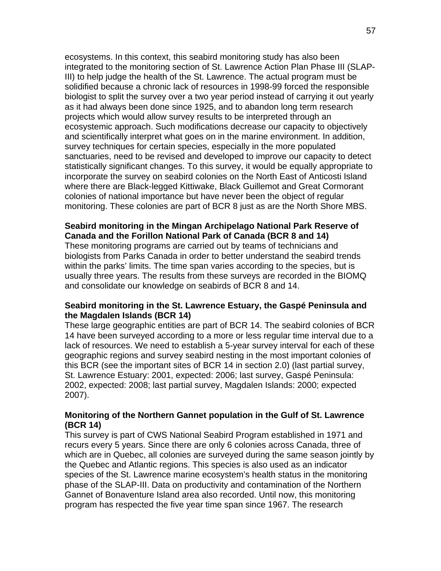ecosystems. In this context, this seabird monitoring study has also been integrated to the monitoring section of St. Lawrence Action Plan Phase III (SLAP-III) to help judge the health of the St. Lawrence. The actual program must be solidified because a chronic lack of resources in 1998-99 forced the responsible biologist to split the survey over a two year period instead of carrying it out yearly as it had always been done since 1925, and to abandon long term research projects which would allow survey results to be interpreted through an ecosystemic approach. Such modifications decrease our capacity to objectively and scientifically interpret what goes on in the marine environment. In addition, survey techniques for certain species, especially in the more populated sanctuaries, need to be revised and developed to improve our capacity to detect statistically significant changes. To this survey, it would be equally appropriate to incorporate the survey on seabird colonies on the North East of Anticosti Island where there are Black-legged Kittiwake, Black Guillemot and Great Cormorant colonies of national importance but have never been the object of regular monitoring. These colonies are part of BCR 8 just as are the North Shore MBS.

#### **Seabird monitoring in the Mingan Archipelago National Park Reserve of Canada and the Forillon National Park of Canada (BCR 8 and 14)**

These monitoring programs are carried out by teams of technicians and biologists from Parks Canada in order to better understand the seabird trends within the parks' limits. The time span varies according to the species, but is usually three years. The results from these surveys are recorded in the BIOMQ and consolidate our knowledge on seabirds of BCR 8 and 14.

#### **Seabird monitoring in the St. Lawrence Estuary, the Gaspé Peninsula and the Magdalen Islands (BCR 14)**

These large geographic entities are part of BCR 14. The seabird colonies of BCR 14 have been surveyed according to a more or less regular time interval due to a lack of resources. We need to establish a 5-year survey interval for each of these geographic regions and survey seabird nesting in the most important colonies of this BCR (see the important sites of BCR 14 in section 2.0) (last partial survey, St. Lawrence Estuary: 2001, expected: 2006; last survey, Gaspé Peninsula: 2002, expected: 2008; last partial survey, Magdalen Islands: 2000; expected 2007).

#### **Monitoring of the Northern Gannet population in the Gulf of St. Lawrence (BCR 14)**

This survey is part of CWS National Seabird Program established in 1971 and recurs every 5 years. Since there are only 6 colonies across Canada, three of which are in Quebec, all colonies are surveyed during the same season jointly by the Quebec and Atlantic regions. This species is also used as an indicator species of the St. Lawrence marine ecosystem's health status in the monitoring phase of the SLAP-III. Data on productivity and contamination of the Northern Gannet of Bonaventure Island area also recorded. Until now, this monitoring program has respected the five year time span since 1967. The research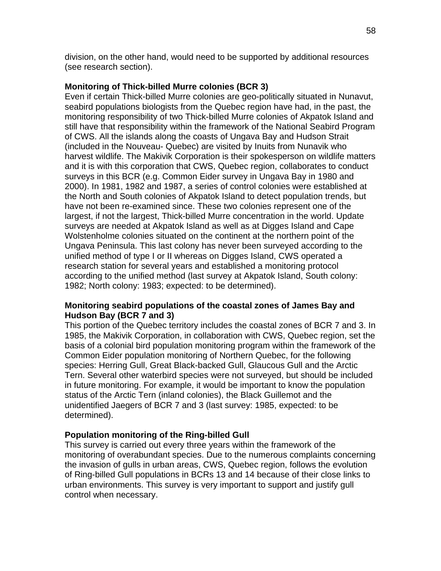division, on the other hand, would need to be supported by additional resources (see research section).

## **Monitoring of Thick-billed Murre colonies (BCR 3)**

Even if certain Thick-billed Murre colonies are geo-politically situated in Nunavut, seabird populations biologists from the Quebec region have had, in the past, the monitoring responsibility of two Thick-billed Murre colonies of Akpatok Island and still have that responsibility within the framework of the National Seabird Program of CWS. All the islands along the coasts of Ungava Bay and Hudson Strait (included in the Nouveau- Quebec) are visited by Inuits from Nunavik who harvest wildlife. The Makivik Corporation is their spokesperson on wildlife matters and it is with this corporation that CWS, Quebec region, collaborates to conduct surveys in this BCR (e.g. Common Eider survey in Ungava Bay in 1980 and 2000). In 1981, 1982 and 1987, a series of control colonies were established at the North and South colonies of Akpatok Island to detect population trends, but have not been re-examined since. These two colonies represent one of the largest, if not the largest, Thick-billed Murre concentration in the world. Update surveys are needed at Akpatok Island as well as at Digges Island and Cape Wolstenholme colonies situated on the continent at the northern point of the Ungava Peninsula. This last colony has never been surveyed according to the unified method of type I or II whereas on Digges Island, CWS operated a research station for several years and established a monitoring protocol according to the unified method (last survey at Akpatok Island, South colony: 1982; North colony: 1983; expected: to be determined).

## **Monitoring seabird populations of the coastal zones of James Bay and Hudson Bay (BCR 7 and 3)**

This portion of the Quebec territory includes the coastal zones of BCR 7 and 3. In 1985, the Makivik Corporation, in collaboration with CWS, Quebec region, set the basis of a colonial bird population monitoring program within the framework of the Common Eider population monitoring of Northern Quebec, for the following species: Herring Gull, Great Black-backed Gull, Glaucous Gull and the Arctic Tern. Several other waterbird species were not surveyed, but should be included in future monitoring. For example, it would be important to know the population status of the Arctic Tern (inland colonies), the Black Guillemot and the unidentified Jaegers of BCR 7 and 3 (last survey: 1985, expected: to be determined).

## **Population monitoring of the Ring-billed Gull**

This survey is carried out every three years within the framework of the monitoring of overabundant species. Due to the numerous complaints concerning the invasion of gulls in urban areas, CWS, Quebec region, follows the evolution of Ring-billed Gull populations in BCRs 13 and 14 because of their close links to urban environments. This survey is very important to support and justify gull control when necessary.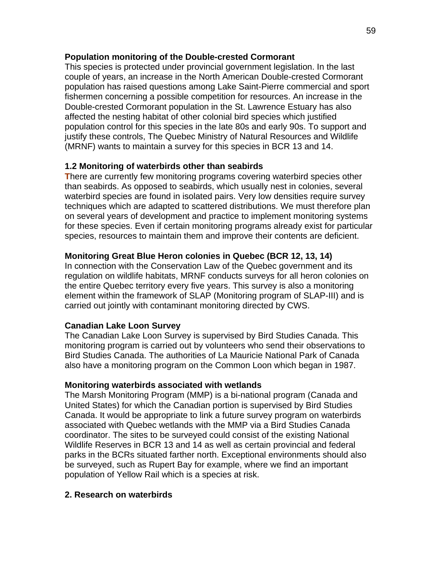#### **Population monitoring of the Double-crested Cormorant**

This species is protected under provincial government legislation. In the last couple of years, an increase in the North American Double-crested Cormorant population has raised questions among Lake Saint-Pierre commercial and sport fishermen concerning a possible competition for resources. An increase in the Double-crested Cormorant population in the St. Lawrence Estuary has also affected the nesting habitat of other colonial bird species which justified population control for this species in the late 80s and early 90s. To support and justify these controls, The Quebec Ministry of Natural Resources and Wildlife (MRNF) wants to maintain a survey for this species in BCR 13 and 14.

## **1.2 Monitoring of waterbirds other than seabirds**

**T**here are currently few monitoring programs covering waterbird species other than seabirds. As opposed to seabirds, which usually nest in colonies, several waterbird species are found in isolated pairs. Very low densities require survey techniques which are adapted to scattered distributions. We must therefore plan on several years of development and practice to implement monitoring systems for these species. Even if certain monitoring programs already exist for particular species, resources to maintain them and improve their contents are deficient.

## **Monitoring Great Blue Heron colonies in Quebec (BCR 12, 13, 14)**

In connection with the Conservation Law of the Quebec government and its regulation on wildlife habitats, MRNF conducts surveys for all heron colonies on the entire Quebec territory every five years. This survey is also a monitoring element within the framework of SLAP (Monitoring program of SLAP-III) and is carried out jointly with contaminant monitoring directed by CWS.

## **Canadian Lake Loon Survey**

The Canadian Lake Loon Survey is supervised by Bird Studies Canada. This monitoring program is carried out by volunteers who send their observations to Bird Studies Canada. The authorities of La Mauricie National Park of Canada also have a monitoring program on the Common Loon which began in 1987.

## **Monitoring waterbirds associated with wetlands**

The Marsh Monitoring Program (MMP) is a bi-national program (Canada and United States) for which the Canadian portion is supervised by Bird Studies Canada. It would be appropriate to link a future survey program on waterbirds associated with Quebec wetlands with the MMP via a Bird Studies Canada coordinator. The sites to be surveyed could consist of the existing National Wildlife Reserves in BCR 13 and 14 as well as certain provincial and federal parks in the BCRs situated farther north. Exceptional environments should also be surveyed, such as Rupert Bay for example, where we find an important population of Yellow Rail which is a species at risk.

## **2. Research on waterbirds**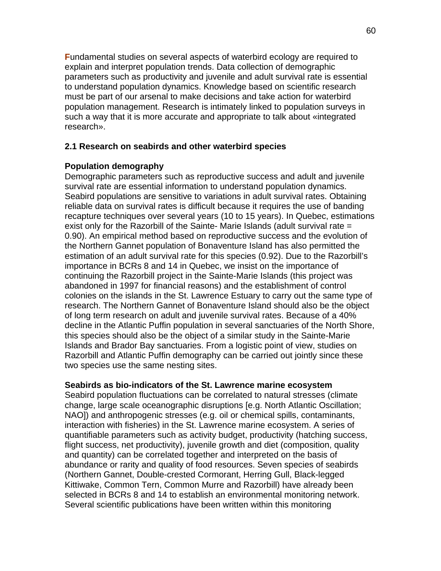**F**undamental studies on several aspects of waterbird ecology are required to explain and interpret population trends. Data collection of demographic parameters such as productivity and juvenile and adult survival rate is essential to understand population dynamics. Knowledge based on scientific research must be part of our arsenal to make decisions and take action for waterbird population management. Research is intimately linked to population surveys in such a way that it is more accurate and appropriate to talk about «integrated research».

#### **2.1 Research on seabirds and other waterbird species**

#### **Population demography**

Demographic parameters such as reproductive success and adult and juvenile survival rate are essential information to understand population dynamics. Seabird populations are sensitive to variations in adult survival rates. Obtaining reliable data on survival rates is difficult because it requires the use of banding recapture techniques over several years (10 to 15 years). In Quebec, estimations exist only for the Razorbill of the Sainte- Marie Islands (adult survival rate = 0.90). An empirical method based on reproductive success and the evolution of the Northern Gannet population of Bonaventure Island has also permitted the estimation of an adult survival rate for this species (0.92). Due to the Razorbill's importance in BCRs 8 and 14 in Quebec, we insist on the importance of continuing the Razorbill project in the Sainte-Marie Islands (this project was abandoned in 1997 for financial reasons) and the establishment of control colonies on the islands in the St. Lawrence Estuary to carry out the same type of research. The Northern Gannet of Bonaventure Island should also be the object of long term research on adult and juvenile survival rates. Because of a 40% decline in the Atlantic Puffin population in several sanctuaries of the North Shore, this species should also be the object of a similar study in the Sainte-Marie Islands and Brador Bay sanctuaries. From a logistic point of view, studies on Razorbill and Atlantic Puffin demography can be carried out jointly since these two species use the same nesting sites.

#### **Seabirds as bio-indicators of the St. Lawrence marine ecosystem**

Seabird population fluctuations can be correlated to natural stresses (climate change, large scale oceanographic disruptions [e.g. North Atlantic Oscillation; NAO]) and anthropogenic stresses (e.g. oil or chemical spills, contaminants, interaction with fisheries) in the St. Lawrence marine ecosystem. A series of quantifiable parameters such as activity budget, productivity (hatching success, flight success, net productivity), juvenile growth and diet (composition, quality and quantity) can be correlated together and interpreted on the basis of abundance or rarity and quality of food resources. Seven species of seabirds (Northern Gannet, Double-crested Cormorant, Herring Gull, Black-legged Kittiwake, Common Tern, Common Murre and Razorbill) have already been selected in BCRs 8 and 14 to establish an environmental monitoring network. Several scientific publications have been written within this monitoring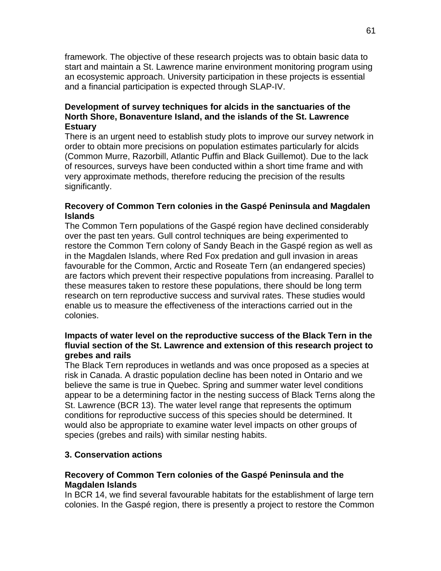framework. The objective of these research projects was to obtain basic data to start and maintain a St. Lawrence marine environment monitoring program using an ecosystemic approach. University participation in these projects is essential and a financial participation is expected through SLAP-IV.

## **Development of survey techniques for alcids in the sanctuaries of the North Shore, Bonaventure Island, and the islands of the St. Lawrence Estuary**

There is an urgent need to establish study plots to improve our survey network in order to obtain more precisions on population estimates particularly for alcids (Common Murre, Razorbill, Atlantic Puffin and Black Guillemot). Due to the lack of resources, surveys have been conducted within a short time frame and with very approximate methods, therefore reducing the precision of the results significantly.

## **Recovery of Common Tern colonies in the Gaspé Peninsula and Magdalen Islands**

The Common Tern populations of the Gaspé region have declined considerably over the past ten years. Gull control techniques are being experimented to restore the Common Tern colony of Sandy Beach in the Gaspé region as well as in the Magdalen Islands, where Red Fox predation and gull invasion in areas favourable for the Common, Arctic and Roseate Tern (an endangered species) are factors which prevent their respective populations from increasing. Parallel to these measures taken to restore these populations, there should be long term research on tern reproductive success and survival rates. These studies would enable us to measure the effectiveness of the interactions carried out in the colonies.

## **Impacts of water level on the reproductive success of the Black Tern in the fluvial section of the St. Lawrence and extension of this research project to grebes and rails**

The Black Tern reproduces in wetlands and was once proposed as a species at risk in Canada. A drastic population decline has been noted in Ontario and we believe the same is true in Quebec. Spring and summer water level conditions appear to be a determining factor in the nesting success of Black Terns along the St. Lawrence (BCR 13). The water level range that represents the optimum conditions for reproductive success of this species should be determined. It would also be appropriate to examine water level impacts on other groups of species (grebes and rails) with similar nesting habits.

## **3. Conservation actions**

## **Recovery of Common Tern colonies of the Gaspé Peninsula and the Magdalen Islands**

In BCR 14, we find several favourable habitats for the establishment of large tern colonies. In the Gaspé region, there is presently a project to restore the Common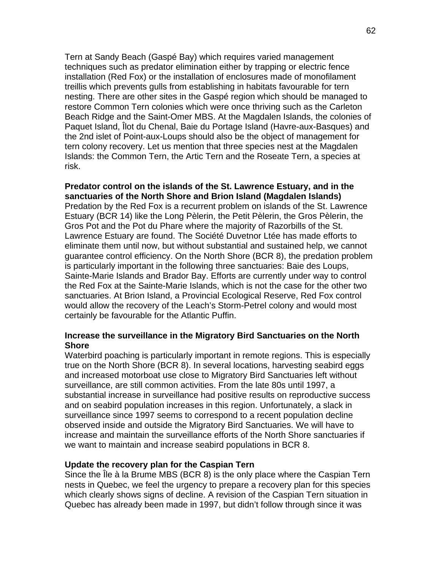Tern at Sandy Beach (Gaspé Bay) which requires varied management techniques such as predator elimination either by trapping or electric fence installation (Red Fox) or the installation of enclosures made of monofilament treillis which prevents gulls from establishing in habitats favourable for tern nesting. There are other sites in the Gaspé region which should be managed to restore Common Tern colonies which were once thriving such as the Carleton Beach Ridge and the Saint-Omer MBS. At the Magdalen Islands, the colonies of Paquet Island, Îlot du Chenal, Baie du Portage Island (Havre-aux-Basques) and the 2nd islet of Point-aux-Loups should also be the object of management for tern colony recovery. Let us mention that three species nest at the Magdalen Islands: the Common Tern, the Artic Tern and the Roseate Tern, a species at risk.

#### **Predator control on the islands of the St. Lawrence Estuary, and in the sanctuaries of the North Shore and Brion Island (Magdalen Islands)**

Predation by the Red Fox is a recurrent problem on islands of the St. Lawrence Estuary (BCR 14) like the Long Pèlerin, the Petit Pèlerin, the Gros Pèlerin, the Gros Pot and the Pot du Phare where the majority of Razorbills of the St. Lawrence Estuary are found. The Société Duvetnor Ltée has made efforts to eliminate them until now, but without substantial and sustained help, we cannot guarantee control efficiency. On the North Shore (BCR 8), the predation problem is particularly important in the following three sanctuaries: Baie des Loups, Sainte-Marie Islands and Brador Bay. Efforts are currently under way to control the Red Fox at the Sainte-Marie Islands, which is not the case for the other two sanctuaries. At Brion Island, a Provincial Ecological Reserve, Red Fox control would allow the recovery of the Leach's Storm-Petrel colony and would most certainly be favourable for the Atlantic Puffin.

#### **Increase the surveillance in the Migratory Bird Sanctuaries on the North Shore**

Waterbird poaching is particularly important in remote regions. This is especially true on the North Shore (BCR 8). In several locations, harvesting seabird eggs and increased motorboat use close to Migratory Bird Sanctuaries left without surveillance, are still common activities. From the late 80s until 1997, a substantial increase in surveillance had positive results on reproductive success and on seabird population increases in this region. Unfortunately, a slack in surveillance since 1997 seems to correspond to a recent population decline observed inside and outside the Migratory Bird Sanctuaries. We will have to increase and maintain the surveillance efforts of the North Shore sanctuaries if we want to maintain and increase seabird populations in BCR 8.

#### **Update the recovery plan for the Caspian Tern**

Since the Île à la Brume MBS (BCR 8) is the only place where the Caspian Tern nests in Quebec, we feel the urgency to prepare a recovery plan for this species which clearly shows signs of decline. A revision of the Caspian Tern situation in Quebec has already been made in 1997, but didn't follow through since it was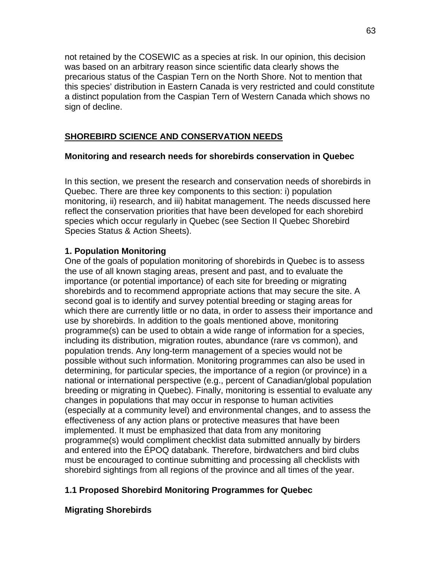not retained by the COSEWIC as a species at risk. In our opinion, this decision was based on an arbitrary reason since scientific data clearly shows the precarious status of the Caspian Tern on the North Shore. Not to mention that this species' distribution in Eastern Canada is very restricted and could constitute a distinct population from the Caspian Tern of Western Canada which shows no sign of decline.

# **SHOREBIRD SCIENCE AND CONSERVATION NEEDS**

## **Monitoring and research needs for shorebirds conservation in Quebec**

In this section, we present the research and conservation needs of shorebirds in Quebec. There are three key components to this section: i) population monitoring, ii) research, and iii) habitat management. The needs discussed here reflect the conservation priorities that have been developed for each shorebird species which occur regularly in Quebec (see Section II Quebec Shorebird Species Status & Action Sheets).

## **1. Population Monitoring**

One of the goals of population monitoring of shorebirds in Quebec is to assess the use of all known staging areas, present and past, and to evaluate the importance (or potential importance) of each site for breeding or migrating shorebirds and to recommend appropriate actions that may secure the site. A second goal is to identify and survey potential breeding or staging areas for which there are currently little or no data, in order to assess their importance and use by shorebirds. In addition to the goals mentioned above, monitoring programme(s) can be used to obtain a wide range of information for a species, including its distribution, migration routes, abundance (rare vs common), and population trends. Any long-term management of a species would not be possible without such information. Monitoring programmes can also be used in determining, for particular species, the importance of a region (or province) in a national or international perspective (e.g., percent of Canadian/global population breeding or migrating in Quebec). Finally, monitoring is essential to evaluate any changes in populations that may occur in response to human activities (especially at a community level) and environmental changes, and to assess the effectiveness of any action plans or protective measures that have been implemented. It must be emphasized that data from any monitoring programme(s) would compliment checklist data submitted annually by birders and entered into the ÉPOQ databank. Therefore, birdwatchers and bird clubs must be encouraged to continue submitting and processing all checklists with shorebird sightings from all regions of the province and all times of the year.

# **1.1 Proposed Shorebird Monitoring Programmes for Quebec**

# **Migrating Shorebirds**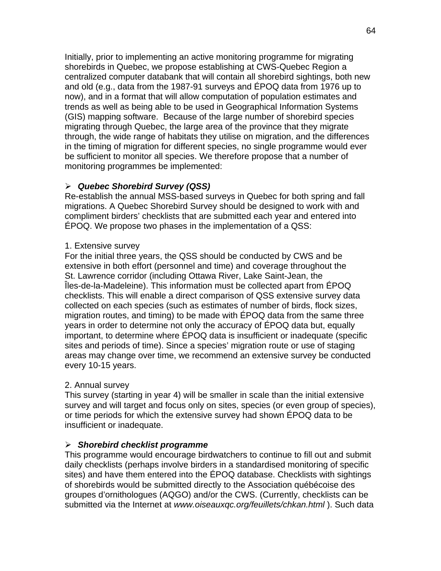Initially, prior to implementing an active monitoring programme for migrating shorebirds in Quebec, we propose establishing at CWS-Quebec Region a centralized computer databank that will contain all shorebird sightings, both new and old (e.g., data from the 1987-91 surveys and ÉPOQ data from 1976 up to now), and in a format that will allow computation of population estimates and trends as well as being able to be used in Geographical Information Systems (GIS) mapping software. Because of the large number of shorebird species migrating through Quebec, the large area of the province that they migrate through, the wide range of habitats they utilise on migration, and the differences in the timing of migration for different species, no single programme would ever be sufficient to monitor all species. We therefore propose that a number of monitoring programmes be implemented:

# ¾ *Quebec Shorebird Survey (QSS)*

Re-establish the annual MSS-based surveys in Quebec for both spring and fall migrations. A Quebec Shorebird Survey should be designed to work with and compliment birders' checklists that are submitted each year and entered into ÉPOQ. We propose two phases in the implementation of a QSS:

## 1. Extensive survey

For the initial three years, the QSS should be conducted by CWS and be extensive in both effort (personnel and time) and coverage throughout the St. Lawrence corridor (including Ottawa River, Lake Saint-Jean, the Îles-de-la-Madeleine). This information must be collected apart from ÉPOQ checklists. This will enable a direct comparison of QSS extensive survey data collected on each species (such as estimates of number of birds, flock sizes, migration routes, and timing) to be made with ÉPOQ data from the same three years in order to determine not only the accuracy of ÉPOQ data but, equally important, to determine where ÉPOQ data is insufficient or inadequate (specific sites and periods of time). Since a species' migration route or use of staging areas may change over time, we recommend an extensive survey be conducted every 10-15 years.

# 2. Annual survey

This survey (starting in year 4) will be smaller in scale than the initial extensive survey and will target and focus only on sites, species (or even group of species), or time periods for which the extensive survey had shown ÉPOQ data to be insufficient or inadequate.

# ¾ *Shorebird checklist programme*

This programme would encourage birdwatchers to continue to fill out and submit daily checklists (perhaps involve birders in a standardised monitoring of specific sites) and have them entered into the ÉPOQ database. Checklists with sightings of shorebirds would be submitted directly to the Association québécoise des groupes d'ornithologues (AQGO) and/or the CWS. (Currently, checklists can be submitted via the Internet at *www.oiseauxqc.org/feuillets/chkan.html* ). Such data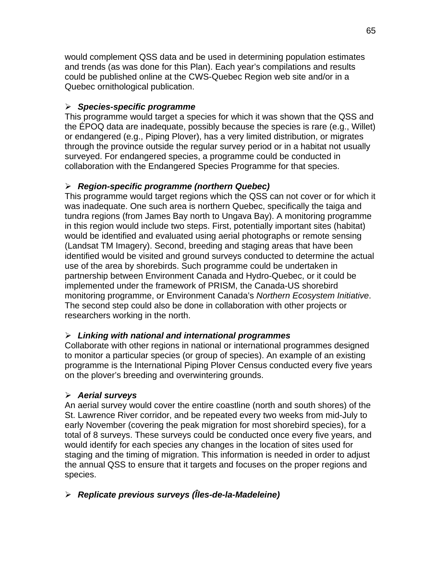would complement QSS data and be used in determining population estimates and trends (as was done for this Plan). Each year's compilations and results could be published online at the CWS-Quebec Region web site and/or in a Quebec ornithological publication.

# ¾ *Species-specific programme*

This programme would target a species for which it was shown that the QSS and the ÉPOQ data are inadequate, possibly because the species is rare (e.g., Willet) or endangered (e.g., Piping Plover), has a very limited distribution, or migrates through the province outside the regular survey period or in a habitat not usually surveyed. For endangered species, a programme could be conducted in collaboration with the Endangered Species Programme for that species.

# ¾ *Region-specific programme (northern Quebec)*

This programme would target regions which the QSS can not cover or for which it was inadequate. One such area is northern Quebec, specifically the taiga and tundra regions (from James Bay north to Ungava Bay). A monitoring programme in this region would include two steps. First, potentially important sites (habitat) would be identified and evaluated using aerial photographs or remote sensing (Landsat TM Imagery). Second, breeding and staging areas that have been identified would be visited and ground surveys conducted to determine the actual use of the area by shorebirds. Such programme could be undertaken in partnership between Environment Canada and Hydro-Quebec, or it could be implemented under the framework of PRISM, the Canada-US shorebird monitoring programme, or Environment Canada's *Northern Ecosystem Initiative*. The second step could also be done in collaboration with other projects or researchers working in the north.

# ¾ *Linking with national and international programmes*

Collaborate with other regions in national or international programmes designed to monitor a particular species (or group of species). An example of an existing programme is the International Piping Plover Census conducted every five years on the plover's breeding and overwintering grounds.

# ¾ *Aerial surveys*

An aerial survey would cover the entire coastline (north and south shores) of the St. Lawrence River corridor, and be repeated every two weeks from mid-July to early November (covering the peak migration for most shorebird species), for a total of 8 surveys. These surveys could be conducted once every five years, and would identify for each species any changes in the location of sites used for staging and the timing of migration. This information is needed in order to adjust the annual QSS to ensure that it targets and focuses on the proper regions and species.

# ¾ *Replicate previous surveys (Îles-de-la-Madeleine)*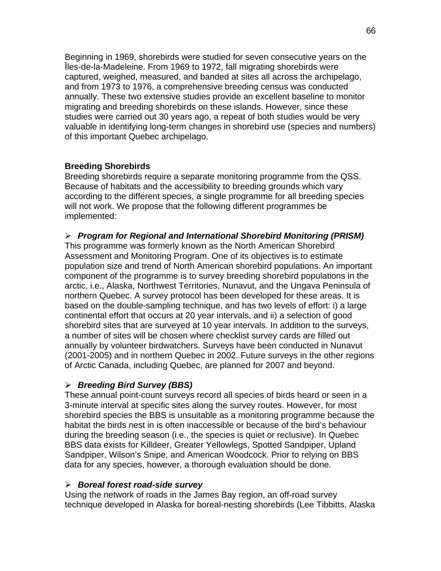Beginning in 1969, shorebirds were studied for seven consecutive years on the Îles-de-la-Madeleine. From 1969 to 1972, fall migrating shorebirds were captured, weighed, measured, and banded at sites all across the archipelago, and from 1973 to 1976, a comprehensive breeding census was conducted annually. These two extensive studies provide an excellent baseline to monitor migrating and breeding shorebirds on these islands. However, since these studies were carried out 30 years ago, a repeat of both studies would be very valuable in identifying long-term changes in shorebird use (species and numbers) of this important Quebec archipelago.

## **Breeding Shorebirds**

Breeding shorebirds require a separate monitoring programme from the QSS. Because of habitats and the accessibility to breeding grounds which vary according to the different species, a single programme for all breeding species will not work. We propose that the following different programmes be implemented:

## ¾ *Program for Regional and International Shorebird Monitoring (PRISM)*

This programme was formerly known as the North American Shorebird Assessment and Monitoring Program. One of its objectives is to estimate population size and trend of North American shorebird populations. An important component of the programme is to survey breeding shorebird populations in the arctic, i.e., Alaska, Northwest Territories, Nunavut, and the Ungava Peninsula of northern Quebec. A survey protocol has been developed for these areas. It is based on the double-sampling technique, and has two levels of effort: i) a large continental effort that occurs at 20 year intervals, and ii) a selection of good shorebird sites that are surveyed at 10 year intervals. In addition to the surveys, a number of sites will be chosen where checklist survey cards are filled out annually by volunteer birdwatchers. Surveys have been conducted in Nunavut (2001-2005) and in northern Quebec in 2002. Future surveys in the other regions of Arctic Canada, including Quebec, are planned for 2007 and beyond.

## ¾ *Breeding Bird Survey (BBS)*

These annual point-count surveys record all species of birds heard or seen in a 3-minute interval at specific sites along the survey routes. However, for most shorebird species the BBS is unsuitable as a monitoring programme because the habitat the birds nest in is often inaccessible or because of the bird's behaviour during the breeding season (i.e., the species is quiet or reclusive). In Quebec BBS data exists for Killdeer, Greater Yellowlegs, Spotted Sandpiper, Upland Sandpiper, Wilson's Snipe, and American Woodcock. Prior to relying on BBS data for any species, however, a thorough evaluation should be done.

## ¾ *Boreal forest road-side survey*

Using the network of roads in the James Bay region, an off-road survey technique developed in Alaska for boreal-nesting shorebirds (Lee Tibbitts, Alaska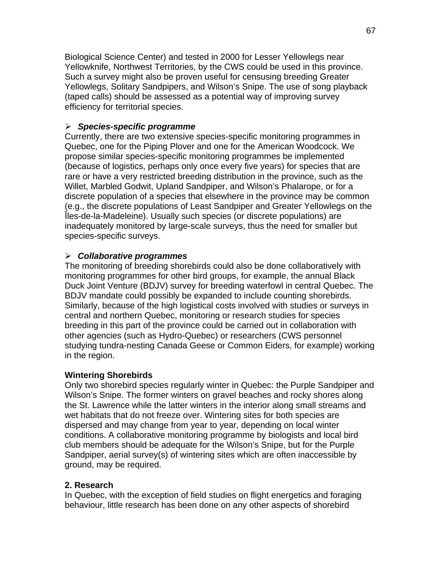Biological Science Center) and tested in 2000 for Lesser Yellowlegs near Yellowknife, Northwest Territories, by the CWS could be used in this province. Such a survey might also be proven useful for censusing breeding Greater Yellowlegs, Solitary Sandpipers, and Wilson's Snipe. The use of song playback (taped calls) should be assessed as a potential way of improving survey efficiency for territorial species.

## ¾ *Species-specific programme*

Currently, there are two extensive species-specific monitoring programmes in Quebec, one for the Piping Plover and one for the American Woodcock. We propose similar species-specific monitoring programmes be implemented (because of logistics, perhaps only once every five years) for species that are rare or have a very restricted breeding distribution in the province, such as the Willet, Marbled Godwit, Upland Sandpiper, and Wilson's Phalarope, or for a discrete population of a species that elsewhere in the province may be common (e.g., the discrete populations of Least Sandpiper and Greater Yellowlegs on the Îles-de-la-Madeleine). Usually such species (or discrete populations) are inadequately monitored by large-scale surveys, thus the need for smaller but species-specific surveys.

## ¾ *Collaborative programmes*

The monitoring of breeding shorebirds could also be done collaboratively with monitoring programmes for other bird groups, for example, the annual Black Duck Joint Venture (BDJV) survey for breeding waterfowl in central Quebec. The BDJV mandate could possibly be expanded to include counting shorebirds. Similarly, because of the high logistical costs involved with studies or surveys in central and northern Quebec, monitoring or research studies for species breeding in this part of the province could be carried out in collaboration with other agencies (such as Hydro-Quebec) or researchers (CWS personnel studying tundra-nesting Canada Geese or Common Eiders, for example) working in the region.

## **Wintering Shorebirds**

Only two shorebird species regularly winter in Quebec: the Purple Sandpiper and Wilson's Snipe. The former winters on gravel beaches and rocky shores along the St. Lawrence while the latter winters in the interior along small streams and wet habitats that do not freeze over. Wintering sites for both species are dispersed and may change from year to year, depending on local winter conditions. A collaborative monitoring programme by biologists and local bird club members should be adequate for the Wilson's Snipe, but for the Purple Sandpiper, aerial survey(s) of wintering sites which are often inaccessible by ground, may be required.

## **2. Research**

In Quebec, with the exception of field studies on flight energetics and foraging behaviour, little research has been done on any other aspects of shorebird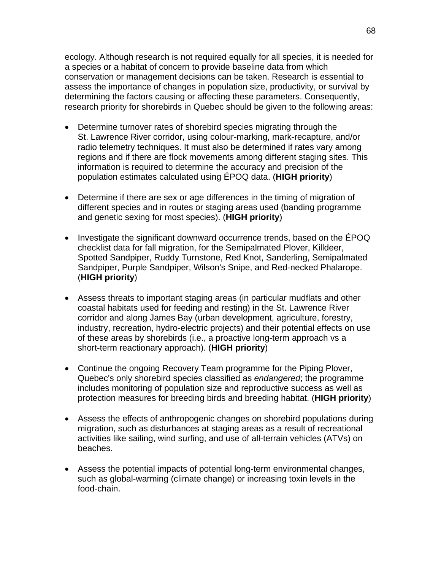ecology. Although research is not required equally for all species, it is needed for a species or a habitat of concern to provide baseline data from which conservation or management decisions can be taken. Research is essential to assess the importance of changes in population size, productivity, or survival by determining the factors causing or affecting these parameters. Consequently, research priority for shorebirds in Quebec should be given to the following areas:

- Determine turnover rates of shorebird species migrating through the St. Lawrence River corridor, using colour-marking, mark-recapture, and/or radio telemetry techniques. It must also be determined if rates vary among regions and if there are flock movements among different staging sites. This information is required to determine the accuracy and precision of the population estimates calculated using ÉPOQ data. (**HIGH priority**)
- Determine if there are sex or age differences in the timing of migration of different species and in routes or staging areas used (banding programme and genetic sexing for most species). (**HIGH priority**)
- Investigate the significant downward occurrence trends, based on the ÉPOQ checklist data for fall migration, for the Semipalmated Plover, Killdeer, Spotted Sandpiper, Ruddy Turnstone, Red Knot, Sanderling, Semipalmated Sandpiper, Purple Sandpiper, Wilson's Snipe, and Red-necked Phalarope. (**HIGH priority**)
- Assess threats to important staging areas (in particular mudflats and other coastal habitats used for feeding and resting) in the St. Lawrence River corridor and along James Bay (urban development, agriculture, forestry, industry, recreation, hydro-electric projects) and their potential effects on use of these areas by shorebirds (i.e., a proactive long-term approach vs a short-term reactionary approach). (**HIGH priority**)
- Continue the ongoing Recovery Team programme for the Piping Plover, Quebec's only shorebird species classified as *endangered*; the programme includes monitoring of population size and reproductive success as well as protection measures for breeding birds and breeding habitat. (**HIGH priority**)
- Assess the effects of anthropogenic changes on shorebird populations during migration, such as disturbances at staging areas as a result of recreational activities like sailing, wind surfing, and use of all-terrain vehicles (ATVs) on beaches.
- Assess the potential impacts of potential long-term environmental changes, such as global-warming (climate change) or increasing toxin levels in the food-chain.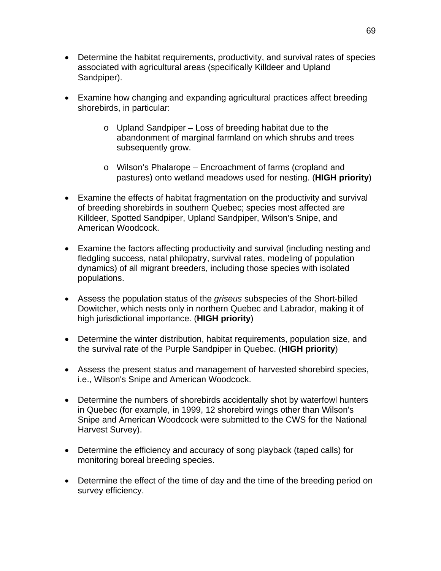- Determine the habitat requirements, productivity, and survival rates of species associated with agricultural areas (specifically Killdeer and Upland Sandpiper).
- Examine how changing and expanding agricultural practices affect breeding shorebirds, in particular:
	- o Upland Sandpiper Loss of breeding habitat due to the abandonment of marginal farmland on which shrubs and trees subsequently grow.
	- o Wilson's Phalarope Encroachment of farms (cropland and pastures) onto wetland meadows used for nesting. (**HIGH priority**)
- Examine the effects of habitat fragmentation on the productivity and survival of breeding shorebirds in southern Quebec; species most affected are Killdeer, Spotted Sandpiper, Upland Sandpiper, Wilson's Snipe, and American Woodcock.
- Examine the factors affecting productivity and survival (including nesting and fledgling success, natal philopatry, survival rates, modeling of population dynamics) of all migrant breeders, including those species with isolated populations.
- Assess the population status of the *griseus* subspecies of the Short-billed Dowitcher, which nests only in northern Quebec and Labrador, making it of high jurisdictional importance. (**HIGH priority**)
- Determine the winter distribution, habitat requirements, population size, and the survival rate of the Purple Sandpiper in Quebec. (**HIGH priority**)
- Assess the present status and management of harvested shorebird species, i.e., Wilson's Snipe and American Woodcock.
- Determine the numbers of shorebirds accidentally shot by waterfowl hunters in Quebec (for example, in 1999, 12 shorebird wings other than Wilson's Snipe and American Woodcock were submitted to the CWS for the National Harvest Survey).
- Determine the efficiency and accuracy of song playback (taped calls) for monitoring boreal breeding species.
- Determine the effect of the time of day and the time of the breeding period on survey efficiency.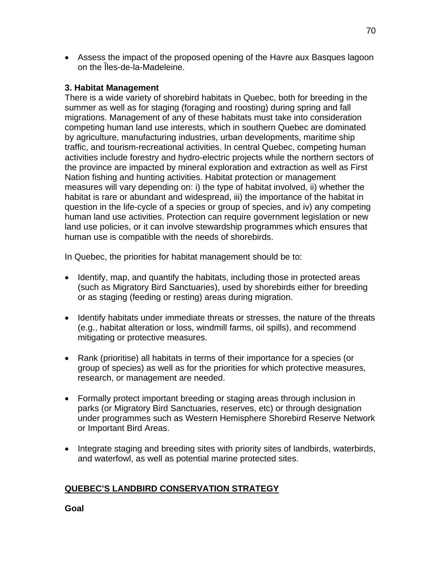• Assess the impact of the proposed opening of the Havre aux Basques lagoon on the Îles-de-la-Madeleine.

## **3. Habitat Management**

There is a wide variety of shorebird habitats in Quebec, both for breeding in the summer as well as for staging (foraging and roosting) during spring and fall migrations. Management of any of these habitats must take into consideration competing human land use interests, which in southern Quebec are dominated by agriculture, manufacturing industries, urban developments, maritime ship traffic, and tourism-recreational activities. In central Quebec, competing human activities include forestry and hydro-electric projects while the northern sectors of the province are impacted by mineral exploration and extraction as well as First Nation fishing and hunting activities. Habitat protection or management measures will vary depending on: i) the type of habitat involved, ii) whether the habitat is rare or abundant and widespread, iii) the importance of the habitat in question in the life-cycle of a species or group of species, and iv) any competing human land use activities. Protection can require government legislation or new land use policies, or it can involve stewardship programmes which ensures that human use is compatible with the needs of shorebirds.

In Quebec, the priorities for habitat management should be to:

- Identify, map, and quantify the habitats, including those in protected areas (such as Migratory Bird Sanctuaries), used by shorebirds either for breeding or as staging (feeding or resting) areas during migration.
- Identify habitats under immediate threats or stresses, the nature of the threats (e.g., habitat alteration or loss, windmill farms, oil spills), and recommend mitigating or protective measures.
- Rank (prioritise) all habitats in terms of their importance for a species (or group of species) as well as for the priorities for which protective measures, research, or management are needed.
- Formally protect important breeding or staging areas through inclusion in parks (or Migratory Bird Sanctuaries, reserves, etc) or through designation under programmes such as Western Hemisphere Shorebird Reserve Network or Important Bird Areas.
- Integrate staging and breeding sites with priority sites of landbirds, waterbirds, and waterfowl, as well as potential marine protected sites.

# **QUEBEC'S LANDBIRD CONSERVATION STRATEGY**

**Goal**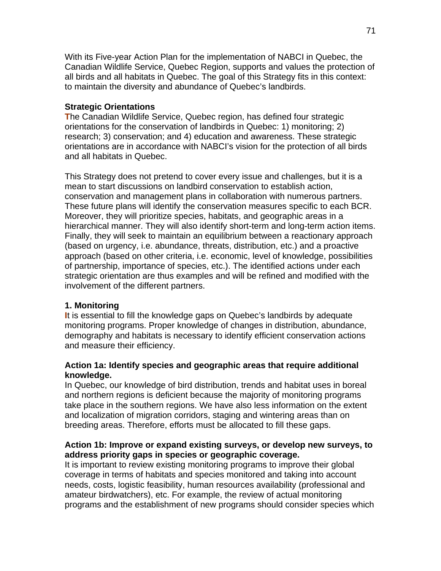With its Five-year Action Plan for the implementation of NABCI in Quebec, the Canadian Wildlife Service, Quebec Region, supports and values the protection of all birds and all habitats in Quebec. The goal of this Strategy fits in this context: to maintain the diversity and abundance of Quebec's landbirds.

## **Strategic Orientations**

**T**he Canadian Wildlife Service, Quebec region, has defined four strategic orientations for the conservation of landbirds in Quebec: 1) monitoring; 2) research; 3) conservation; and 4) education and awareness. These strategic orientations are in accordance with NABCI's vision for the protection of all birds and all habitats in Quebec.

This Strategy does not pretend to cover every issue and challenges, but it is a mean to start discussions on landbird conservation to establish action, conservation and management plans in collaboration with numerous partners. These future plans will identify the conservation measures specific to each BCR. Moreover, they will prioritize species, habitats, and geographic areas in a hierarchical manner. They will also identify short-term and long-term action items. Finally, they will seek to maintain an equilibrium between a reactionary approach (based on urgency, i.e. abundance, threats, distribution, etc.) and a proactive approach (based on other criteria, i.e. economic, level of knowledge, possibilities of partnership, importance of species, etc.). The identified actions under each strategic orientation are thus examples and will be refined and modified with the involvement of the different partners.

# **1. Monitoring**

**I**t is essential to fill the knowledge gaps on Quebec's landbirds by adequate monitoring programs. Proper knowledge of changes in distribution, abundance, demography and habitats is necessary to identify efficient conservation actions and measure their efficiency.

## **Action 1a: Identify species and geographic areas that require additional knowledge.**

In Quebec, our knowledge of bird distribution, trends and habitat uses in boreal and northern regions is deficient because the majority of monitoring programs take place in the southern regions. We have also less information on the extent and localization of migration corridors, staging and wintering areas than on breeding areas. Therefore, efforts must be allocated to fill these gaps.

## **Action 1b: Improve or expand existing surveys, or develop new surveys, to address priority gaps in species or geographic coverage.**

It is important to review existing monitoring programs to improve their global coverage in terms of habitats and species monitored and taking into account needs, costs, logistic feasibility, human resources availability (professional and amateur birdwatchers), etc. For example, the review of actual monitoring programs and the establishment of new programs should consider species which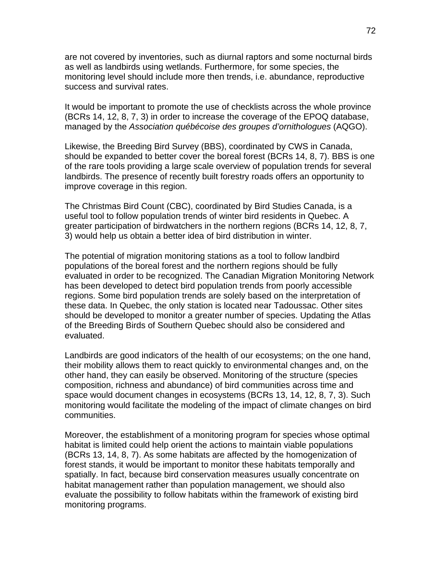are not covered by inventories, such as diurnal raptors and some nocturnal birds as well as landbirds using wetlands. Furthermore, for some species, the monitoring level should include more then trends, i.e. abundance, reproductive success and survival rates.

It would be important to promote the use of checklists across the whole province (BCRs 14, 12, 8, 7, 3) in order to increase the coverage of the EPOQ database, managed by the *Association québécoise des groupes d'ornithologues* (AQGO).

Likewise, the Breeding Bird Survey (BBS), coordinated by CWS in Canada, should be expanded to better cover the boreal forest (BCRs 14, 8, 7). BBS is one of the rare tools providing a large scale overview of population trends for several landbirds. The presence of recently built forestry roads offers an opportunity to improve coverage in this region.

The Christmas Bird Count (CBC), coordinated by Bird Studies Canada, is a useful tool to follow population trends of winter bird residents in Quebec. A greater participation of birdwatchers in the northern regions (BCRs 14, 12, 8, 7, 3) would help us obtain a better idea of bird distribution in winter.

The potential of migration monitoring stations as a tool to follow landbird populations of the boreal forest and the northern regions should be fully evaluated in order to be recognized. The Canadian Migration Monitoring Network has been developed to detect bird population trends from poorly accessible regions. Some bird population trends are solely based on the interpretation of these data. In Quebec, the only station is located near Tadoussac. Other sites should be developed to monitor a greater number of species. Updating the Atlas of the Breeding Birds of Southern Quebec should also be considered and evaluated.

Landbirds are good indicators of the health of our ecosystems; on the one hand, their mobility allows them to react quickly to environmental changes and, on the other hand, they can easily be observed. Monitoring of the structure (species composition, richness and abundance) of bird communities across time and space would document changes in ecosystems (BCRs 13, 14, 12, 8, 7, 3). Such monitoring would facilitate the modeling of the impact of climate changes on bird communities.

Moreover, the establishment of a monitoring program for species whose optimal habitat is limited could help orient the actions to maintain viable populations (BCRs 13, 14, 8, 7). As some habitats are affected by the homogenization of forest stands, it would be important to monitor these habitats temporally and spatially. In fact, because bird conservation measures usually concentrate on habitat management rather than population management, we should also evaluate the possibility to follow habitats within the framework of existing bird monitoring programs.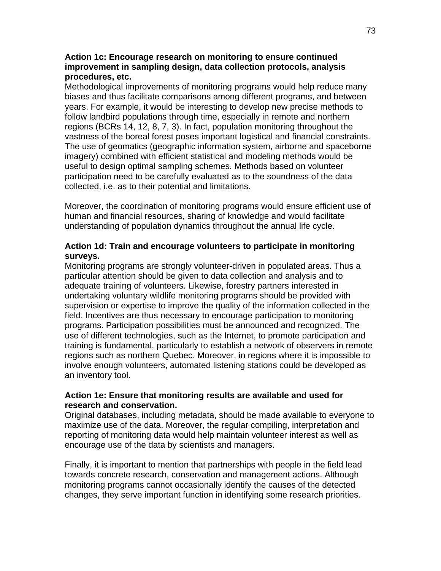### **Action 1c: Encourage research on monitoring to ensure continued improvement in sampling design, data collection protocols, analysis procedures, etc.**

Methodological improvements of monitoring programs would help reduce many biases and thus facilitate comparisons among different programs, and between years. For example, it would be interesting to develop new precise methods to follow landbird populations through time, especially in remote and northern regions (BCRs 14, 12, 8, 7, 3). In fact, population monitoring throughout the vastness of the boreal forest poses important logistical and financial constraints. The use of geomatics (geographic information system, airborne and spaceborne imagery) combined with efficient statistical and modeling methods would be useful to design optimal sampling schemes. Methods based on volunteer participation need to be carefully evaluated as to the soundness of the data collected, i.e. as to their potential and limitations.

Moreover, the coordination of monitoring programs would ensure efficient use of human and financial resources, sharing of knowledge and would facilitate understanding of population dynamics throughout the annual life cycle.

# **Action 1d: Train and encourage volunteers to participate in monitoring surveys.**

Monitoring programs are strongly volunteer-driven in populated areas. Thus a particular attention should be given to data collection and analysis and to adequate training of volunteers. Likewise, forestry partners interested in undertaking voluntary wildlife monitoring programs should be provided with supervision or expertise to improve the quality of the information collected in the field. Incentives are thus necessary to encourage participation to monitoring programs. Participation possibilities must be announced and recognized. The use of different technologies, such as the Internet, to promote participation and training is fundamental, particularly to establish a network of observers in remote regions such as northern Quebec. Moreover, in regions where it is impossible to involve enough volunteers, automated listening stations could be developed as an inventory tool.

## **Action 1e: Ensure that monitoring results are available and used for research and conservation.**

Original databases, including metadata, should be made available to everyone to maximize use of the data. Moreover, the regular compiling, interpretation and reporting of monitoring data would help maintain volunteer interest as well as encourage use of the data by scientists and managers.

Finally, it is important to mention that partnerships with people in the field lead towards concrete research, conservation and management actions. Although monitoring programs cannot occasionally identify the causes of the detected changes, they serve important function in identifying some research priorities.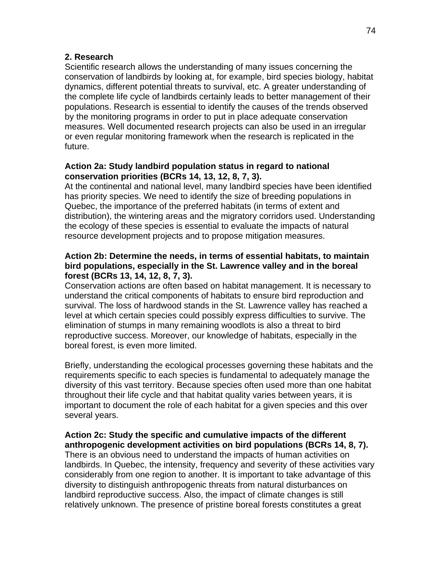### **2. Research**

Scientific research allows the understanding of many issues concerning the conservation of landbirds by looking at, for example, bird species biology, habitat dynamics, different potential threats to survival, etc. A greater understanding of the complete life cycle of landbirds certainly leads to better management of their populations. Research is essential to identify the causes of the trends observed by the monitoring programs in order to put in place adequate conservation measures. Well documented research projects can also be used in an irregular or even regular monitoring framework when the research is replicated in the future.

### **Action 2a: Study landbird population status in regard to national conservation priorities (BCRs 14, 13, 12, 8, 7, 3).**

At the continental and national level, many landbird species have been identified has priority species. We need to identify the size of breeding populations in Quebec, the importance of the preferred habitats (in terms of extent and distribution), the wintering areas and the migratory corridors used. Understanding the ecology of these species is essential to evaluate the impacts of natural resource development projects and to propose mitigation measures.

### **Action 2b: Determine the needs, in terms of essential habitats, to maintain bird populations, especially in the St. Lawrence valley and in the boreal forest (BCRs 13, 14, 12, 8, 7, 3).**

Conservation actions are often based on habitat management. It is necessary to understand the critical components of habitats to ensure bird reproduction and survival. The loss of hardwood stands in the St. Lawrence valley has reached a level at which certain species could possibly express difficulties to survive. The elimination of stumps in many remaining woodlots is also a threat to bird reproductive success. Moreover, our knowledge of habitats, especially in the boreal forest, is even more limited.

Briefly, understanding the ecological processes governing these habitats and the requirements specific to each species is fundamental to adequately manage the diversity of this vast territory. Because species often used more than one habitat throughout their life cycle and that habitat quality varies between years, it is important to document the role of each habitat for a given species and this over several years.

# **Action 2c: Study the specific and cumulative impacts of the different anthropogenic development activities on bird populations (BCRs 14, 8, 7).**

There is an obvious need to understand the impacts of human activities on landbirds. In Quebec, the intensity, frequency and severity of these activities vary considerably from one region to another. It is important to take advantage of this diversity to distinguish anthropogenic threats from natural disturbances on landbird reproductive success. Also, the impact of climate changes is still relatively unknown. The presence of pristine boreal forests constitutes a great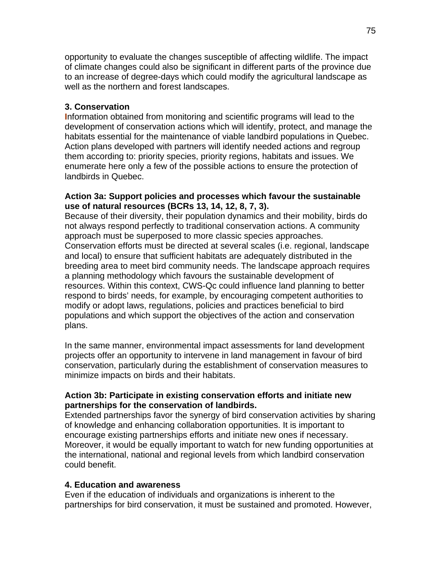opportunity to evaluate the changes susceptible of affecting wildlife. The impact of climate changes could also be significant in different parts of the province due to an increase of degree-days which could modify the agricultural landscape as well as the northern and forest landscapes.

# **3. Conservation**

**I**nformation obtained from monitoring and scientific programs will lead to the development of conservation actions which will identify, protect, and manage the habitats essential for the maintenance of viable landbird populations in Quebec. Action plans developed with partners will identify needed actions and regroup them according to: priority species, priority regions, habitats and issues. We enumerate here only a few of the possible actions to ensure the protection of landbirds in Quebec.

### **Action 3a: Support policies and processes which favour the sustainable use of natural resources (BCRs 13, 14, 12, 8, 7, 3).**

Because of their diversity, their population dynamics and their mobility, birds do not always respond perfectly to traditional conservation actions. A community approach must be superposed to more classic species approaches. Conservation efforts must be directed at several scales (i.e. regional, landscape and local) to ensure that sufficient habitats are adequately distributed in the breeding area to meet bird community needs. The landscape approach requires a planning methodology which favours the sustainable development of resources. Within this context, CWS-Qc could influence land planning to better respond to birds' needs, for example, by encouraging competent authorities to modify or adopt laws, regulations, policies and practices beneficial to bird populations and which support the objectives of the action and conservation plans.

In the same manner, environmental impact assessments for land development projects offer an opportunity to intervene in land management in favour of bird conservation, particularly during the establishment of conservation measures to minimize impacts on birds and their habitats.

## **Action 3b: Participate in existing conservation efforts and initiate new partnerships for the conservation of landbirds.**

Extended partnerships favor the synergy of bird conservation activities by sharing of knowledge and enhancing collaboration opportunities. It is important to encourage existing partnerships efforts and initiate new ones if necessary. Moreover, it would be equally important to watch for new funding opportunities at the international, national and regional levels from which landbird conservation could benefit.

## **4. Education and awareness**

Even if the education of individuals and organizations is inherent to the partnerships for bird conservation, it must be sustained and promoted. However,